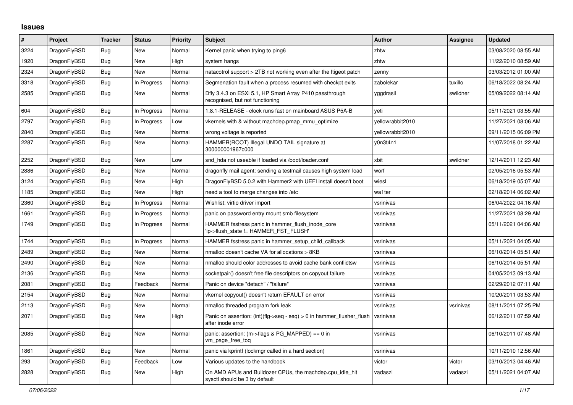## **Issues**

| #    | Project      | <b>Tracker</b> | <b>Status</b> | <b>Priority</b> | <b>Subject</b>                                                                                | <b>Author</b>    | Assignee  | <b>Updated</b>      |
|------|--------------|----------------|---------------|-----------------|-----------------------------------------------------------------------------------------------|------------------|-----------|---------------------|
| 3224 | DragonFlyBSD | Bug            | <b>New</b>    | Normal          | Kernel panic when trying to ping6                                                             | zhtw             |           | 03/08/2020 08:55 AM |
| 1920 | DragonFlyBSD | Bug            | New           | High            | system hangs                                                                                  | zhtw             |           | 11/22/2010 08:59 AM |
| 2324 | DragonFlyBSD | <b>Bug</b>     | New           | Normal          | natacotrol support > 2TB not working even after the ftigeot patch                             | zenny            |           | 03/03/2012 01:00 AM |
| 3318 | DragonFlyBSD | Bug            | In Progress   | Normal          | Segmenation fault when a process resumed with checkpt exits                                   | zabolekar        | tuxillo   | 06/18/2022 08:24 AM |
| 2585 | DragonFlyBSD | Bug            | <b>New</b>    | Normal          | Dfly 3.4.3 on ESXi 5.1, HP Smart Array P410 passthrough<br>recognised, but not functioning    | yggdrasil        | swildner  | 05/09/2022 08:14 AM |
| 604  | DragonFlyBSD | <b>Bug</b>     | In Progress   | Normal          | 1.8.1-RELEASE - clock runs fast on mainboard ASUS P5A-B                                       | yeti             |           | 05/11/2021 03:55 AM |
| 2797 | DragonFlyBSD | Bug            | In Progress   | Low             | vkernels with & without machdep.pmap_mmu_optimize                                             | yellowrabbit2010 |           | 11/27/2021 08:06 AM |
| 2840 | DragonFlyBSD | Bug            | New           | Normal          | wrong voltage is reported                                                                     | yellowrabbit2010 |           | 09/11/2015 06:09 PM |
| 2287 | DragonFlyBSD | Bug            | New           | Normal          | HAMMER(ROOT) Illegal UNDO TAIL signature at<br>300000001967c000                               | y0n3t4n1         |           | 11/07/2018 01:22 AM |
| 2252 | DragonFlyBSD | <b>Bug</b>     | <b>New</b>    | Low             | snd hda not useable if loaded via /boot/loader.conf                                           | xbit             | swildner  | 12/14/2011 12:23 AM |
| 2886 | DragonFlyBSD | <b>Bug</b>     | <b>New</b>    | Normal          | dragonfly mail agent: sending a testmail causes high system load                              | worf             |           | 02/05/2016 05:53 AM |
| 3124 | DragonFlyBSD | <b>Bug</b>     | <b>New</b>    | High            | DragonFlyBSD 5.0.2 with Hammer2 with UEFI install doesn't boot                                | wiesl            |           | 06/18/2019 05:07 AM |
| 1185 | DragonFlyBSD | Bug            | New           | High            | need a tool to merge changes into /etc                                                        | wa1ter           |           | 02/18/2014 06:02 AM |
| 2360 | DragonFlyBSD | Bug            | In Progress   | Normal          | Wishlist: virtio driver import                                                                | vsrinivas        |           | 06/04/2022 04:16 AM |
| 1661 | DragonFlyBSD | Bug            | In Progress   | Normal          | panic on password entry mount smb filesystem                                                  | vsrinivas        |           | 11/27/2021 08:29 AM |
| 1749 | DragonFlyBSD | Bug            | In Progress   | Normal          | HAMMER fsstress panic in hammer flush inode core<br>'ip->flush_state != HAMMER_FST_FLUSH'     | vsrinivas        |           | 05/11/2021 04:06 AM |
| 1744 | DragonFlyBSD | <b>Bug</b>     | In Progress   | Normal          | HAMMER fsstress panic in hammer setup child callback                                          | vsrinivas        |           | 05/11/2021 04:05 AM |
| 2489 | DragonFlyBSD | Bug            | <b>New</b>    | Normal          | nmalloc doesn't cache VA for allocations > 8KB                                                | vsrinivas        |           | 06/10/2014 05:51 AM |
| 2490 | DragonFlyBSD | <b>Bug</b>     | New           | Normal          | nmalloc should color addresses to avoid cache bank conflictsw                                 | vsrinivas        |           | 06/10/2014 05:51 AM |
| 2136 | DragonFlyBSD | Bug            | <b>New</b>    | Normal          | socketpair() doesn't free file descriptors on copyout failure                                 | vsrinivas        |           | 04/05/2013 09:13 AM |
| 2081 | DragonFlyBSD | Bug            | Feedback      | Normal          | Panic on device "detach" / "failure"                                                          | vsrinivas        |           | 02/29/2012 07:11 AM |
| 2154 | DragonFlyBSD | Bug            | <b>New</b>    | Normal          | vkernel copyout() doesn't return EFAULT on error                                              | vsrinivas        |           | 10/20/2011 03:53 AM |
| 2113 | DragonFlyBSD | Bug            | <b>New</b>    | Normal          | nmalloc threaded program fork leak                                                            | vsrinivas        | vsrinivas | 08/11/2011 07:25 PM |
| 2071 | DragonFlyBSD | <b>Bug</b>     | <b>New</b>    | High            | Panic on assertion: $(int)(flag->seq - seq) > 0$ in hammer flusher flush<br>after inode error | vsrinivas        |           | 06/12/2011 07:59 AM |
| 2085 | DragonFlyBSD | Bug            | <b>New</b>    | Normal          | panic: assertion: $(m\rightarrow$ flags & PG MAPPED) == 0 in<br>vm page free tog              | vsrinivas        |           | 06/10/2011 07:48 AM |
| 1861 | DragonFlyBSD | <b>Bug</b>     | <b>New</b>    | Normal          | panic via kprintf (lockmgr called in a hard section)                                          | vsrinivas        |           | 10/11/2010 12:56 AM |
| 293  | DragonFlyBSD | <b>Bug</b>     | Feedback      | Low             | Various updates to the handbook                                                               | victor           | victor    | 03/10/2013 04:46 AM |
| 2828 | DragonFlyBSD | <b>Bug</b>     | <b>New</b>    | High            | On AMD APUs and Bulldozer CPUs, the machdep.cpu_idle_hlt<br>sysctl should be 3 by default     | vadaszi          | vadaszi   | 05/11/2021 04:07 AM |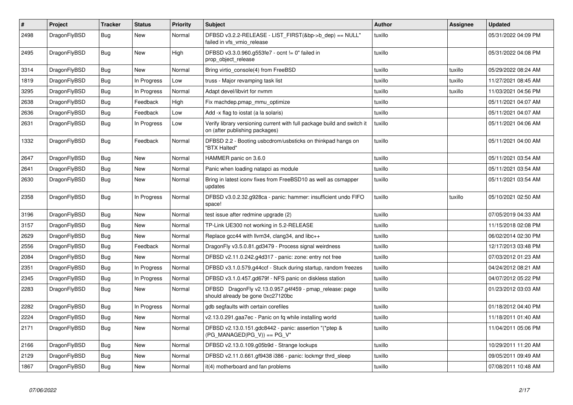| $\vert$ # | Project      | <b>Tracker</b> | <b>Status</b> | <b>Priority</b> | <b>Subject</b>                                                                                            | <b>Author</b> | Assignee | <b>Updated</b>      |
|-----------|--------------|----------------|---------------|-----------------|-----------------------------------------------------------------------------------------------------------|---------------|----------|---------------------|
| 2498      | DragonFlyBSD | Bug            | New           | Normal          | DFBSD v3.2.2-RELEASE - LIST FIRST(&bp->b dep) == NULL"<br>failed in vfs_vmio_release                      | tuxillo       |          | 05/31/2022 04:09 PM |
| 2495      | DragonFlyBSD | Bug            | <b>New</b>    | High            | DFBSD v3.3.0.960.g553fe7 - ocnt != 0" failed in<br>prop object release                                    | tuxillo       |          | 05/31/2022 04:08 PM |
| 3314      | DragonFlyBSD | <b>Bug</b>     | <b>New</b>    | Normal          | Bring virtio_console(4) from FreeBSD                                                                      | tuxillo       | tuxillo  | 05/29/2022 08:24 AM |
| 1819      | DragonFlyBSD | Bug            | In Progress   | Low             | truss - Major revamping task list                                                                         | tuxillo       | tuxillo  | 11/27/2021 08:45 AM |
| 3295      | DragonFlyBSD | Bug            | In Progress   | Normal          | Adapt devel/libvirt for nvmm                                                                              | tuxillo       | tuxillo  | 11/03/2021 04:56 PM |
| 2638      | DragonFlyBSD | <b>Bug</b>     | Feedback      | High            | Fix machdep.pmap_mmu_optimize                                                                             | tuxillo       |          | 05/11/2021 04:07 AM |
| 2636      | DragonFlyBSD | <b>Bug</b>     | Feedback      | Low             | Add -x flag to iostat (a la solaris)                                                                      | tuxillo       |          | 05/11/2021 04:07 AM |
| 2631      | DragonFlyBSD | Bug            | In Progress   | Low             | Verify library versioning current with full package build and switch it<br>on (after publishing packages) | tuxillo       |          | 05/11/2021 04:06 AM |
| 1332      | DragonFlyBSD | <b>Bug</b>     | Feedback      | Normal          | DFBSD 2.2 - Booting usbcdrom/usbsticks on thinkpad hangs on<br>"BTX Halted"                               | tuxillo       |          | 05/11/2021 04:00 AM |
| 2647      | DragonFlyBSD | Bug            | <b>New</b>    | Normal          | HAMMER panic on 3.6.0                                                                                     | tuxillo       |          | 05/11/2021 03:54 AM |
| 2641      | DragonFlyBSD | <b>Bug</b>     | <b>New</b>    | Normal          | Panic when loading natapci as module                                                                      | tuxillo       |          | 05/11/2021 03:54 AM |
| 2630      | DragonFlyBSD | Bug            | New           | Normal          | Bring in latest iconv fixes from FreeBSD10 as well as csmapper<br>updates                                 | tuxillo       |          | 05/11/2021 03:54 AM |
| 2358      | DragonFlyBSD | <b>Bug</b>     | In Progress   | Normal          | DFBSD v3.0.2.32.g928ca - panic: hammer: insufficient undo FIFO<br>space!                                  | tuxillo       | tuxillo  | 05/10/2021 02:50 AM |
| 3196      | DragonFlyBSD | <b>Bug</b>     | <b>New</b>    | Normal          | test issue after redmine upgrade (2)                                                                      | tuxillo       |          | 07/05/2019 04:33 AM |
| 3157      | DragonFlyBSD | <b>Bug</b>     | New           | Normal          | TP-Link UE300 not working in 5.2-RELEASE                                                                  | tuxillo       |          | 11/15/2018 02:08 PM |
| 2629      | DragonFlyBSD | <b>Bug</b>     | <b>New</b>    | Normal          | Replace gcc44 with llvm34, clang34, and libc++                                                            | tuxillo       |          | 06/02/2014 02:30 PM |
| 2556      | DragonFlyBSD | Bug            | Feedback      | Normal          | DragonFly v3.5.0.81.gd3479 - Process signal weirdness                                                     | tuxillo       |          | 12/17/2013 03:48 PM |
| 2084      | DragonFlyBSD | <b>Bug</b>     | <b>New</b>    | Normal          | DFBSD v2.11.0.242.g4d317 - panic: zone: entry not free                                                    | tuxillo       |          | 07/03/2012 01:23 AM |
| 2351      | DragonFlyBSD | <b>Bug</b>     | In Progress   | Normal          | DFBSD v3.1.0.579.g44ccf - Stuck during startup, random freezes                                            | tuxillo       |          | 04/24/2012 08:21 AM |
| 2345      | DragonFlyBSD | Bug            | In Progress   | Normal          | DFBSD v3.1.0.457.gd679f - NFS panic on diskless station                                                   | tuxillo       |          | 04/07/2012 05:22 PM |
| 2283      | DragonFlyBSD | Bug            | New           | Normal          | DFBSD DragonFly v2.13.0.957.g4f459 - pmap_release: page<br>should already be gone 0xc27120bc              | tuxillo       |          | 01/23/2012 03:03 AM |
| 2282      | DragonFlyBSD | Bug            | In Progress   | Normal          | gdb segfaults with certain corefiles                                                                      | tuxillo       |          | 01/18/2012 04:40 PM |
| 2224      | DragonFlyBSD | Bug            | <b>New</b>    | Normal          | v2.13.0.291.gaa7ec - Panic on fq while installing world                                                   | tuxillo       |          | 11/18/2011 01:40 AM |
| 2171      | DragonFlyBSD | <b>Bug</b>     | New           | Normal          | DFBSD v2.13.0.151.gdc8442 - panic: assertion "(*ptep &<br>$(PG_MANAGED PG_V)) == PG_V"$                   | tuxillo       |          | 11/04/2011 05:06 PM |
| 2166      | DragonFlyBSD | Bug            | <b>New</b>    | Normal          | DFBSD v2.13.0.109.g05b9d - Strange lockups                                                                | tuxillo       |          | 10/29/2011 11:20 AM |
| 2129      | DragonFlyBSD | <b>Bug</b>     | <b>New</b>    | Normal          | DFBSD v2.11.0.661.gf9438 i386 - panic: lockmgr thrd_sleep                                                 | tuxillo       |          | 09/05/2011 09:49 AM |
| 1867      | DragonFlyBSD | Bug            | <b>New</b>    | Normal          | it(4) motherboard and fan problems                                                                        | tuxillo       |          | 07/08/2011 10:48 AM |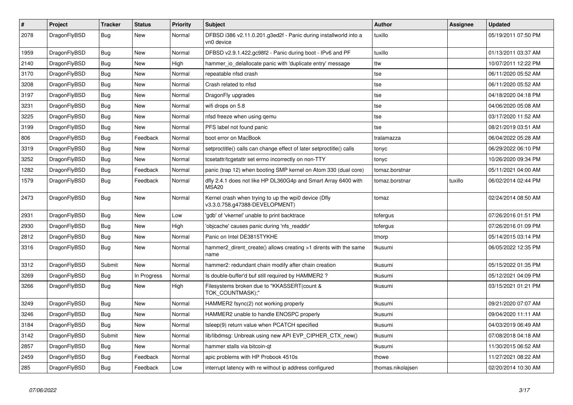| $\vert$ # | <b>Project</b> | <b>Tracker</b> | <b>Status</b> | <b>Priority</b> | <b>Subject</b>                                                                         | <b>Author</b>     | Assignee | <b>Updated</b>      |
|-----------|----------------|----------------|---------------|-----------------|----------------------------------------------------------------------------------------|-------------------|----------|---------------------|
| 2078      | DragonFlyBSD   | Bug            | <b>New</b>    | Normal          | DFBSD i386 v2.11.0.201.g3ed2f - Panic during installworld into a<br>vn0 device         | tuxillo           |          | 05/19/2011 07:50 PM |
| 1959      | DragonFlyBSD   | <b>Bug</b>     | <b>New</b>    | Normal          | DFBSD v2.9.1.422.gc98f2 - Panic during boot - IPv6 and PF                              | tuxillo           |          | 01/13/2011 03:37 AM |
| 2140      | DragonFlyBSD   | <b>Bug</b>     | New           | High            | hammer io delallocate panic with 'duplicate entry' message                             | ttw               |          | 10/07/2011 12:22 PM |
| 3170      | DragonFlyBSD   | Bug            | New           | Normal          | repeatable nfsd crash                                                                  | tse               |          | 06/11/2020 05:52 AM |
| 3208      | DragonFlyBSD   | Bug            | New           | Normal          | Crash related to nfsd                                                                  | tse               |          | 06/11/2020 05:52 AM |
| 3197      | DragonFlyBSD   | Bug            | New           | Normal          | DragonFly upgrades                                                                     | tse               |          | 04/18/2020 04:18 PM |
| 3231      | DragonFlyBSD   | <b>Bug</b>     | New           | Normal          | wifi drops on 5.8                                                                      | tse               |          | 04/06/2020 05:08 AM |
| 3225      | DragonFlyBSD   | Bug            | New           | Normal          | nfsd freeze when using qemu                                                            | tse               |          | 03/17/2020 11:52 AM |
| 3199      | DragonFlyBSD   | Bug            | New           | Normal          | PFS label not found panic                                                              | tse               |          | 08/21/2019 03:51 AM |
| 806       | DragonFlyBSD   | Bug            | Feedback      | Normal          | boot error on MacBook                                                                  | tralamazza        |          | 06/04/2022 05:28 AM |
| 3319      | DragonFlyBSD   | Bug            | New           | Normal          | setproctitle() calls can change effect of later setproctitle() calls                   | tonyc             |          | 06/29/2022 06:10 PM |
| 3252      | DragonFlyBSD   | Bug            | <b>New</b>    | Normal          | tcsetattr/tcgetattr set errno incorrectly on non-TTY                                   | tonyc             |          | 10/26/2020 09:34 PM |
| 1282      | DragonFlyBSD   | Bug            | Feedback      | Normal          | panic (trap 12) when booting SMP kernel on Atom 330 (dual core)                        | tomaz.borstnar    |          | 05/11/2021 04:00 AM |
| 1579      | DragonFlyBSD   | Bug            | Feedback      | Normal          | dfly 2.4.1 does not like HP DL360G4p and Smart Array 6400 with<br>MSA <sub>20</sub>    | tomaz.borstnar    | tuxillo  | 06/02/2014 02:44 PM |
| 2473      | DragonFlyBSD   | <b>Bug</b>     | <b>New</b>    | Normal          | Kernel crash when trying to up the wpi0 device (Dfly<br>v3.3.0.758.g47388-DEVELOPMENT) | tomaz             |          | 02/24/2014 08:50 AM |
| 2931      | DragonFlyBSD   | Bug            | <b>New</b>    | Low             | 'gdb' of 'vkernel' unable to print backtrace                                           | tofergus          |          | 07/26/2016 01:51 PM |
| 2930      | DragonFlyBSD   | <b>Bug</b>     | <b>New</b>    | High            | 'objcache' causes panic during 'nfs readdir'                                           | tofergus          |          | 07/26/2016 01:09 PM |
| 2812      | DragonFlyBSD   | <b>Bug</b>     | <b>New</b>    | Normal          | Panic on Intel DE3815TYKHE                                                             | tmorp             |          | 05/14/2015 03:14 PM |
| 3316      | DragonFlyBSD   | <b>Bug</b>     | <b>New</b>    | Normal          | hammer2_dirent_create() allows creating >1 dirents with the same<br>name               | tkusumi           |          | 06/05/2022 12:35 PM |
| 3312      | DragonFlyBSD   | Submit         | New           | Normal          | hammer2: redundant chain modify after chain creation                                   | tkusumi           |          | 05/15/2022 01:35 PM |
| 3269      | DragonFlyBSD   | <b>Bug</b>     | In Progress   | Normal          | Is double-buffer'd buf still required by HAMMER2?                                      | tkusumi           |          | 05/12/2021 04:09 PM |
| 3266      | DragonFlyBSD   | <b>Bug</b>     | New           | High            | Filesystems broken due to "KKASSERT(count &<br>TOK COUNTMASK);"                        | tkusumi           |          | 03/15/2021 01:21 PM |
| 3249      | DragonFlyBSD   | Bug            | <b>New</b>    | Normal          | HAMMER2 fsync(2) not working properly                                                  | tkusumi           |          | 09/21/2020 07:07 AM |
| 3246      | DragonFlyBSD   | <b>Bug</b>     | New           | Normal          | HAMMER2 unable to handle ENOSPC properly                                               | tkusumi           |          | 09/04/2020 11:11 AM |
| 3184      | DragonFlyBSD   | <b>Bug</b>     | New           | Normal          | tsleep(9) return value when PCATCH specified                                           | tkusumi           |          | 04/03/2019 06:49 AM |
| 3142      | DragonFlyBSD   | Submit         | New           | Normal          | lib/libdmsg: Unbreak using new API EVP_CIPHER_CTX_new()                                | tkusumi           |          | 07/08/2018 04:18 AM |
| 2857      | DragonFlyBSD   | Bug            | New           | Normal          | hammer stalls via bitcoin-qt                                                           | tkusumi           |          | 11/30/2015 06:52 AM |
| 2459      | DragonFlyBSD   | Bug            | Feedback      | Normal          | apic problems with HP Probook 4510s                                                    | thowe             |          | 11/27/2021 08:22 AM |
| 285       | DragonFlyBSD   | Bug            | Feedback      | Low             | interrupt latency with re without ip address configured                                | thomas.nikolajsen |          | 02/20/2014 10:30 AM |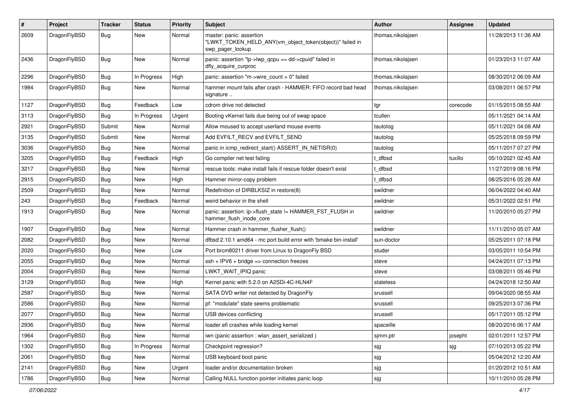| $\pmb{\#}$ | Project      | <b>Tracker</b> | <b>Status</b> | <b>Priority</b> | <b>Subject</b>                                                                                           | <b>Author</b>     | Assignee | <b>Updated</b>      |
|------------|--------------|----------------|---------------|-----------------|----------------------------------------------------------------------------------------------------------|-------------------|----------|---------------------|
| 2609       | DragonFlyBSD | Bug            | New           | Normal          | master: panic: assertion<br>"LWKT_TOKEN_HELD_ANY(vm_object_token(object))" failed in<br>swp pager lookup | thomas.nikolajsen |          | 11/28/2013 11:36 AM |
| 2436       | DragonFlyBSD | <b>Bug</b>     | New           | Normal          | panic: assertion "lp->lwp_qcpu == dd->cpuid" failed in<br>dfly_acquire_curproc                           | thomas.nikolajsen |          | 01/23/2013 11:07 AM |
| 2296       | DragonFlyBSD | <b>Bug</b>     | In Progress   | High            | panic: assertion "m->wire count > 0" failed                                                              | thomas.nikolajsen |          | 08/30/2012 06:09 AM |
| 1984       | DragonFlyBSD | Bug            | New           | Normal          | hammer mount fails after crash - HAMMER: FIFO record bad head<br>signature                               | thomas.nikolajsen |          | 03/08/2011 06:57 PM |
| 1127       | DragonFlyBSD | Bug            | Feedback      | Low             | cdrom drive not detected                                                                                 | tgr               | corecode | 01/15/2015 08:55 AM |
| 3113       | DragonFlyBSD | <b>Bug</b>     | In Progress   | Urgent          | Booting vKernel fails due being out of swap space                                                        | tcullen           |          | 05/11/2021 04:14 AM |
| 2921       | DragonFlyBSD | Submit         | New           | Normal          | Allow moused to accept userland mouse events                                                             | tautolog          |          | 05/11/2021 04:08 AM |
| 3135       | DragonFlyBSD | Submit         | New           | Normal          | Add EVFILT RECV and EVFILT SEND                                                                          | tautolog          |          | 05/25/2018 09:59 PM |
| 3036       | DragonFlyBSD | Bug            | New           | Normal          | panic in icmp_redirect_start() ASSERT_IN_NETISR(0)                                                       | tautolog          |          | 05/11/2017 07:27 PM |
| 3205       | DragonFlyBSD | <b>Bug</b>     | Feedback      | High            | Go compiler net test failing                                                                             | t_dfbsd           | tuxillo  | 05/10/2021 02:45 AM |
| 3217       | DragonFlyBSD | Bug            | <b>New</b>    | Normal          | rescue tools: make install fails if rescue folder doesn't exist                                          | t_dfbsd           |          | 11/27/2019 08:16 PM |
| 2915       | DragonFlyBSD | Bug            | New           | High            | Hammer mirror-copy problem                                                                               | t dfbsd           |          | 08/25/2016 05:28 AM |
| 2509       | DragonFlyBSD | Bug            | New           | Normal          | Redefinition of DIRBLKSIZ in restore(8)                                                                  | swildner          |          | 06/04/2022 04:40 AM |
| 243        | DragonFlyBSD | Bug            | Feedback      | Normal          | weird behavior in the shell                                                                              | swildner          |          | 05/31/2022 02:51 PM |
| 1913       | DragonFlyBSD | Bug            | <b>New</b>    | Normal          | panic: assertion: ip->flush_state != HAMMER_FST_FLUSH in<br>hammer_flush_inode_core                      | swildner          |          | 11/20/2010 05:27 PM |
| 1907       | DragonFlyBSD | <b>Bug</b>     | <b>New</b>    | Normal          | Hammer crash in hammer_flusher_flush()                                                                   | swildner          |          | 11/11/2010 05:07 AM |
| 2082       | DragonFlyBSD | <b>Bug</b>     | <b>New</b>    | Normal          | dfbsd 2.10.1 amd64 - mc port build error with 'bmake bin-install'                                        | sun-doctor        |          | 05/25/2011 07:18 PM |
| 2020       | DragonFlyBSD | Bug            | <b>New</b>    | Low             | Port brcm80211 driver from Linux to DragonFly BSD                                                        | studer            |          | 03/05/2011 10:54 PM |
| 2055       | DragonFlyBSD | Bug            | New           | Normal          | $ssh + IPV6 + bridge \Rightarrow connection freezes$                                                     | steve             |          | 04/24/2011 07:13 PM |
| 2004       | DragonFlyBSD | Bug            | <b>New</b>    | Normal          | LWKT_WAIT_IPIQ panic                                                                                     | steve             |          | 03/08/2011 05:46 PM |
| 3129       | DragonFlyBSD | Bug            | <b>New</b>    | High            | Kernel panic with 5.2.0 on A2SDi-4C-HLN4F                                                                | stateless         |          | 04/24/2018 12:50 AM |
| 2587       | DragonFlyBSD | Bug            | New           | Normal          | SATA DVD writer not detected by DragonFly                                                                | srussell          |          | 09/04/2020 08:55 AM |
| 2586       | DragonFlyBSD | <b>Bug</b>     | <b>New</b>    | Normal          | pf: "modulate" state seems problematic                                                                   | srussell          |          | 09/25/2013 07:36 PM |
| 2077       | DragonFlyBSD | Bug            | New           | Normal          | USB devices conflicting                                                                                  | srussell          |          | 05/17/2011 05:12 PM |
| 2936       | DragonFlyBSD | Bug            | New           | Normal          | loader.efi crashes while loading kernel                                                                  | spaceille         |          | 08/20/2016 06:17 AM |
| 1964       | DragonFlyBSD | Bug            | New           | Normal          | iwn (panic assertion : wlan assert serialized)                                                           | sjmm.ptr          | josepht  | 02/01/2011 12:57 PM |
| 1302       | DragonFlyBSD | <b>Bug</b>     | In Progress   | Normal          | Checkpoint regression?                                                                                   | sjg               | sjg      | 07/10/2013 05:22 PM |
| 2061       | DragonFlyBSD | Bug            | New           | Normal          | USB keyboard boot panic                                                                                  | sjg               |          | 05/04/2012 12:20 AM |
| 2141       | DragonFlyBSD | <b>Bug</b>     | New           | Urgent          | loader and/or documentation broken                                                                       | sjg               |          | 01/20/2012 10:51 AM |
| 1786       | DragonFlyBSD | Bug            | New           | Normal          | Calling NULL function pointer initiates panic loop                                                       | sjg               |          | 10/11/2010 05:28 PM |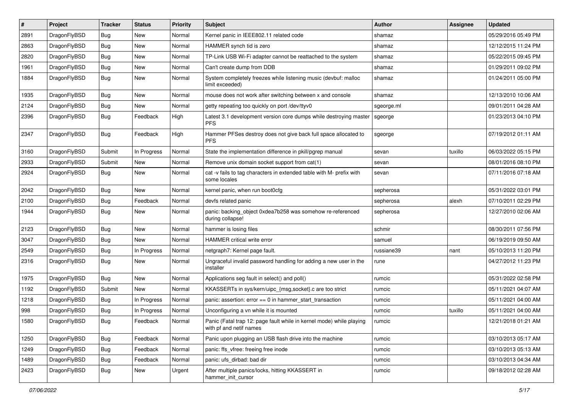| #    | Project      | <b>Tracker</b> | <b>Status</b> | <b>Priority</b> | Subject                                                                                         | <b>Author</b> | Assignee | <b>Updated</b>      |
|------|--------------|----------------|---------------|-----------------|-------------------------------------------------------------------------------------------------|---------------|----------|---------------------|
| 2891 | DragonFlyBSD | <b>Bug</b>     | <b>New</b>    | Normal          | Kernel panic in IEEE802.11 related code                                                         | shamaz        |          | 05/29/2016 05:49 PM |
| 2863 | DragonFlyBSD | <b>Bug</b>     | <b>New</b>    | Normal          | HAMMER synch tid is zero                                                                        | shamaz        |          | 12/12/2015 11:24 PM |
| 2820 | DragonFlyBSD | <b>Bug</b>     | <b>New</b>    | Normal          | TP-Link USB Wi-Fi adapter cannot be reattached to the system                                    | shamaz        |          | 05/22/2015 09:45 PM |
| 1961 | DragonFlyBSD | Bug            | <b>New</b>    | Normal          | Can't create dump from DDB                                                                      | shamaz        |          | 01/29/2011 09:02 PM |
| 1884 | DragonFlyBSD | Bug            | <b>New</b>    | Normal          | System completely freezes while listening music (devbuf: malloc<br>limit exceeded)              | shamaz        |          | 01/24/2011 05:00 PM |
| 1935 | DragonFlyBSD | Bug            | <b>New</b>    | Normal          | mouse does not work after switching between x and console                                       | shamaz        |          | 12/13/2010 10:06 AM |
| 2124 | DragonFlyBSD | <b>Bug</b>     | New           | Normal          | getty repeating too quickly on port /dev/ttyv0                                                  | sgeorge.ml    |          | 09/01/2011 04:28 AM |
| 2396 | DragonFlyBSD | <b>Bug</b>     | Feedback      | High            | Latest 3.1 development version core dumps while destroying master<br><b>PFS</b>                 | sgeorge       |          | 01/23/2013 04:10 PM |
| 2347 | DragonFlyBSD | <b>Bug</b>     | Feedback      | High            | Hammer PFSes destroy does not give back full space allocated to<br><b>PFS</b>                   | sgeorge       |          | 07/19/2012 01:11 AM |
| 3160 | DragonFlyBSD | Submit         | In Progress   | Normal          | State the implementation difference in pkill/pgrep manual                                       | sevan         | tuxillo  | 06/03/2022 05:15 PM |
| 2933 | DragonFlyBSD | Submit         | New           | Normal          | Remove unix domain socket support from cat(1)                                                   | sevan         |          | 08/01/2016 08:10 PM |
| 2924 | DragonFlyBSD | Bug            | <b>New</b>    | Normal          | cat -v fails to tag characters in extended table with M- prefix with<br>some locales            | sevan         |          | 07/11/2016 07:18 AM |
| 2042 | DragonFlyBSD | <b>Bug</b>     | <b>New</b>    | Normal          | kernel panic, when run boot0cfg                                                                 | sepherosa     |          | 05/31/2022 03:01 PM |
| 2100 | DragonFlyBSD | <b>Bug</b>     | Feedback      | Normal          | devfs related panic                                                                             | sepherosa     | alexh    | 07/10/2011 02:29 PM |
| 1944 | DragonFlyBSD | <b>Bug</b>     | <b>New</b>    | Normal          | panic: backing_object 0xdea7b258 was somehow re-referenced<br>during collapse!                  | sepherosa     |          | 12/27/2010 02:06 AM |
| 2123 | DragonFlyBSD | Bug            | <b>New</b>    | Normal          | hammer is losing files                                                                          | schmir        |          | 08/30/2011 07:56 PM |
| 3047 | DragonFlyBSD | <b>Bug</b>     | New           | Normal          | HAMMER critical write error                                                                     | samuel        |          | 06/19/2019 09:50 AM |
| 2549 | DragonFlyBSD | Bug            | In Progress   | Normal          | netgraph7: Kernel page fault.                                                                   | russiane39    | nant     | 05/10/2013 11:20 PM |
| 2316 | DragonFlyBSD | <b>Bug</b>     | New           | Normal          | Ungraceful invalid password handling for adding a new user in the<br>installer                  | rune          |          | 04/27/2012 11:23 PM |
| 1975 | DragonFlyBSD | Bug            | <b>New</b>    | Normal          | Applications seg fault in select() and poll()                                                   | rumcic        |          | 05/31/2022 02:58 PM |
| 1192 | DragonFlyBSD | Submit         | <b>New</b>    | Normal          | KKASSERTs in sys/kern/uipc_{msg,socket}.c are too strict                                        | rumcic        |          | 05/11/2021 04:07 AM |
| 1218 | DragonFlyBSD | Bug            | In Progress   | Normal          | panic: assertion: $error == 0$ in hammer start transaction                                      | rumcic        |          | 05/11/2021 04:00 AM |
| 998  | DragonFlyBSD | <b>Bug</b>     | In Progress   | Normal          | Unconfiguring a vn while it is mounted                                                          | rumcic        | tuxillo  | 05/11/2021 04:00 AM |
| 1580 | DragonFlyBSD | Bug            | Feedback      | Normal          | Panic (Fatal trap 12: page fault while in kernel mode) while playing<br>with pf and netif names | rumcic        |          | 12/21/2018 01:21 AM |
| 1250 | DragonFlyBSD | <b>Bug</b>     | Feedback      | Normal          | Panic upon plugging an USB flash drive into the machine                                         | rumcic        |          | 03/10/2013 05:17 AM |
| 1249 | DragonFlyBSD | <b>Bug</b>     | Feedback      | Normal          | panic: ffs_vfree: freeing free inode                                                            | rumcic        |          | 03/10/2013 05:13 AM |
| 1489 | DragonFlyBSD | <b>Bug</b>     | Feedback      | Normal          | panic: ufs_dirbad: bad dir                                                                      | rumcic        |          | 03/10/2013 04:34 AM |
| 2423 | DragonFlyBSD | <b>Bug</b>     | New           | Urgent          | After multiple panics/locks, hitting KKASSERT in<br>hammer_init_cursor                          | rumcic        |          | 09/18/2012 02:28 AM |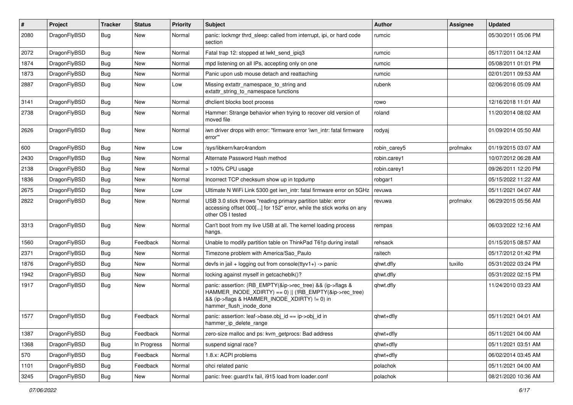| $\sharp$ | Project      | <b>Tracker</b> | <b>Status</b> | <b>Priority</b> | Subject                                                                                                                                                                                           | Author       | <b>Assignee</b> | <b>Updated</b>      |
|----------|--------------|----------------|---------------|-----------------|---------------------------------------------------------------------------------------------------------------------------------------------------------------------------------------------------|--------------|-----------------|---------------------|
| 2080     | DragonFlyBSD | Bug            | <b>New</b>    | Normal          | panic: lockmgr thrd sleep: called from interrupt, ipi, or hard code<br>section                                                                                                                    | rumcic       |                 | 05/30/2011 05:06 PM |
| 2072     | DragonFlyBSD | Bug            | <b>New</b>    | Normal          | Fatal trap 12: stopped at lwkt send ipig3                                                                                                                                                         | rumcic       |                 | 05/17/2011 04:12 AM |
| 1874     | DragonFlyBSD | <b>Bug</b>     | New           | Normal          | mpd listening on all IPs, accepting only on one                                                                                                                                                   | rumcic       |                 | 05/08/2011 01:01 PM |
| 1873     | DragonFlyBSD | Bug            | <b>New</b>    | Normal          | Panic upon usb mouse detach and reattaching                                                                                                                                                       | rumcic       |                 | 02/01/2011 09:53 AM |
| 2887     | DragonFlyBSD | <b>Bug</b>     | New           | Low             | Missing extattr namespace to string and<br>extattr_string_to_namespace functions                                                                                                                  | rubenk       |                 | 02/06/2016 05:09 AM |
| 3141     | DragonFlyBSD | <b>Bug</b>     | <b>New</b>    | Normal          | dhclient blocks boot process                                                                                                                                                                      | rowo         |                 | 12/16/2018 11:01 AM |
| 2738     | DragonFlyBSD | <b>Bug</b>     | New           | Normal          | Hammer: Strange behavior when trying to recover old version of<br>moved file                                                                                                                      | roland       |                 | 11/20/2014 08:02 AM |
| 2626     | DragonFlyBSD | Bug            | <b>New</b>    | Normal          | iwn driver drops with error: "firmware error 'iwn intr: fatal firmware<br>error'"                                                                                                                 | rodyaj       |                 | 01/09/2014 05:50 AM |
| 600      | DragonFlyBSD | <b>Bug</b>     | <b>New</b>    | Low             | /sys/libkern/karc4random                                                                                                                                                                          | robin carey5 | profmakx        | 01/19/2015 03:07 AM |
| 2430     | DragonFlyBSD | Bug            | New           | Normal          | Alternate Password Hash method                                                                                                                                                                    | robin.carey1 |                 | 10/07/2012 06:28 AM |
| 2138     | DragonFlyBSD | <b>Bug</b>     | New           | Normal          | > 100% CPU usage                                                                                                                                                                                  | robin.carey1 |                 | 09/26/2011 12:20 PM |
| 1836     | DragonFlyBSD | Bug            | New           | Normal          | Incorrect TCP checksum show up in tcpdump                                                                                                                                                         | robgar1      |                 | 05/15/2022 11:22 AM |
| 2675     | DragonFlyBSD | <b>Bug</b>     | <b>New</b>    | Low             | Ultimate N WiFi Link 5300 get iwn_intr: fatal firmware error on 5GHz                                                                                                                              | revuwa       |                 | 05/11/2021 04:07 AM |
| 2822     | DragonFlyBSD | <b>Bug</b>     | New           | Normal          | USB 3.0 stick throws "reading primary partition table: error<br>accessing offset 000[] for 152" error, while the stick works on any<br>other OS I tested                                          | revuwa       | profmakx        | 06/29/2015 05:56 AM |
| 3313     | DragonFlyBSD | <b>Bug</b>     | <b>New</b>    | Normal          | Can't boot from my live USB at all. The kernel loading process<br>hangs.                                                                                                                          | rempas       |                 | 06/03/2022 12:16 AM |
| 1560     | DragonFlyBSD | <b>Bug</b>     | Feedback      | Normal          | Unable to modify partition table on ThinkPad T61p during install                                                                                                                                  | rehsack      |                 | 01/15/2015 08:57 AM |
| 2371     | DragonFlyBSD | <b>Bug</b>     | <b>New</b>    | Normal          | Timezone problem with America/Sao_Paulo                                                                                                                                                           | raitech      |                 | 05/17/2012 01:42 PM |
| 1876     | DragonFlyBSD | <b>Bug</b>     | <b>New</b>    | Normal          | devfs in jail + logging out from console(ttyv1+) -> panic                                                                                                                                         | qhwt.dfly    | tuxillo         | 05/31/2022 03:24 PM |
| 1942     | DragonFlyBSD | <b>Bug</b>     | New           | Normal          | locking against myself in getcacheblk()?                                                                                                                                                          | qhwt.dfly    |                 | 05/31/2022 02:15 PM |
| 1917     | DragonFlyBSD | Bug            | New           | Normal          | panic: assertion: (RB_EMPTY(&ip->rec_tree) && (ip->flags &<br>HAMMER_INODE_XDIRTY) == 0)    (!RB_EMPTY(&ip->rec_tree)<br>&& (ip->flags & HAMMER_INODE_XDIRTY) != 0) in<br>hammer_flush_inode_done | qhwt.dfly    |                 | 11/24/2010 03:23 AM |
| 1577     | DragonFlyBSD | <b>Bug</b>     | Feedback      | Normal          | panic: assertion: leaf->base.obj id == ip->obj id in<br>hammer_ip_delete_range                                                                                                                    | qhwt+dfly    |                 | 05/11/2021 04:01 AM |
| 1387     | DragonFlyBSD | Bug            | Feedback      | Normal          | zero-size malloc and ps: kvm_getprocs: Bad address                                                                                                                                                | qhwt+dfly    |                 | 05/11/2021 04:00 AM |
| 1368     | DragonFlyBSD | <b>Bug</b>     | In Progress   | Normal          | suspend signal race?                                                                                                                                                                              | qhwt+dfly    |                 | 05/11/2021 03:51 AM |
| 570      | DragonFlyBSD | <b>Bug</b>     | Feedback      | Normal          | 1.8.x: ACPI problems                                                                                                                                                                              | qhwt+dfly    |                 | 06/02/2014 03:45 AM |
| 1101     | DragonFlyBSD | <b>Bug</b>     | Feedback      | Normal          | ohci related panic                                                                                                                                                                                | polachok     |                 | 05/11/2021 04:00 AM |
| 3245     | DragonFlyBSD | <b>Bug</b>     | New           | Normal          | panic: free: guard1x fail, i915 load from loader.conf                                                                                                                                             | polachok     |                 | 08/21/2020 10:36 AM |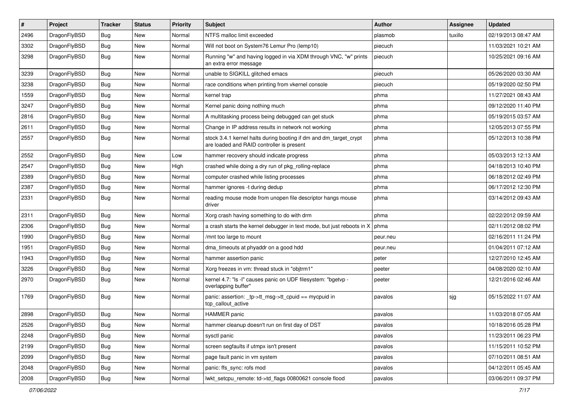| $\pmb{\#}$ | Project      | <b>Tracker</b> | <b>Status</b> | <b>Priority</b> | Subject                                                                                                        | <b>Author</b> | Assignee | <b>Updated</b>      |
|------------|--------------|----------------|---------------|-----------------|----------------------------------------------------------------------------------------------------------------|---------------|----------|---------------------|
| 2496       | DragonFlyBSD | <b>Bug</b>     | New           | Normal          | NTFS malloc limit exceeded                                                                                     | plasmob       | tuxillo  | 02/19/2013 08:47 AM |
| 3302       | DragonFlyBSD | <b>Bug</b>     | New           | Normal          | Will not boot on System76 Lemur Pro (lemp10)                                                                   | piecuch       |          | 11/03/2021 10:21 AM |
| 3298       | DragonFlyBSD | Bug            | New           | Normal          | Running "w" and having logged in via XDM through VNC, "w" prints<br>an extra error message                     | piecuch       |          | 10/25/2021 09:16 AM |
| 3239       | DragonFlyBSD | <b>Bug</b>     | <b>New</b>    | Normal          | unable to SIGKILL glitched emacs                                                                               | piecuch       |          | 05/26/2020 03:30 AM |
| 3238       | DragonFlyBSD | Bug            | New           | Normal          | race conditions when printing from vkernel console                                                             | piecuch       |          | 05/19/2020 02:50 PM |
| 1559       | DragonFlyBSD | Bug            | New           | Normal          | kernel trap                                                                                                    | phma          |          | 11/27/2021 08:43 AM |
| 3247       | DragonFlyBSD | Bug            | <b>New</b>    | Normal          | Kernel panic doing nothing much                                                                                | phma          |          | 09/12/2020 11:40 PM |
| 2816       | DragonFlyBSD | Bug            | New           | Normal          | A multitasking process being debugged can get stuck                                                            | phma          |          | 05/19/2015 03:57 AM |
| 2611       | DragonFlyBSD | Bug            | New           | Normal          | Change in IP address results in network not working                                                            | phma          |          | 12/05/2013 07:55 PM |
| 2557       | DragonFlyBSD | <b>Bug</b>     | New           | Normal          | stock 3.4.1 kernel halts during booting if dm and dm_target_crypt<br>are loaded and RAID controller is present | phma          |          | 05/12/2013 10:38 PM |
| 2552       | DragonFlyBSD | <b>Bug</b>     | <b>New</b>    | Low             | hammer recovery should indicate progress                                                                       | phma          |          | 05/03/2013 12:13 AM |
| 2547       | DragonFlyBSD | <b>Bug</b>     | New           | High            | crashed while doing a dry run of pkg rolling-replace                                                           | phma          |          | 04/18/2013 10:40 PM |
| 2389       | DragonFlyBSD | Bug            | New           | Normal          | computer crashed while listing processes                                                                       | phma          |          | 06/18/2012 02:49 PM |
| 2387       | DragonFlyBSD | Bug            | New           | Normal          | hammer ignores -t during dedup                                                                                 | phma          |          | 06/17/2012 12:30 PM |
| 2331       | DragonFlyBSD | <b>Bug</b>     | New           | Normal          | reading mouse mode from unopen file descriptor hangs mouse<br>driver                                           | phma          |          | 03/14/2012 09:43 AM |
| 2311       | DragonFlyBSD | <b>Bug</b>     | <b>New</b>    | Normal          | Xorg crash having something to do with drm                                                                     | phma          |          | 02/22/2012 09:59 AM |
| 2306       | DragonFlyBSD | Bug            | <b>New</b>    | Normal          | a crash starts the kernel debugger in text mode, but just reboots in X                                         | phma          |          | 02/11/2012 08:02 PM |
| 1990       | DragonFlyBSD | Bug            | New           | Normal          | /mnt too large to mount                                                                                        | peur.neu      |          | 02/16/2011 11:24 PM |
| 1951       | DragonFlyBSD | Bug            | <b>New</b>    | Normal          | dma_timeouts at phyaddr on a good hdd                                                                          | peur.neu      |          | 01/04/2011 07:12 AM |
| 1943       | DragonFlyBSD | Bug            | New           | Normal          | hammer assertion panic                                                                                         | peter         |          | 12/27/2010 12:45 AM |
| 3226       | DragonFlyBSD | Bug            | <b>New</b>    | Normal          | Xorg freezes in vm: thread stuck in "objtrm1"                                                                  | peeter        |          | 04/08/2020 02:10 AM |
| 2970       | DragonFlyBSD | Bug            | New           | Normal          | kernel 4.7: "Is -I" causes panic on UDF filesystem: "bgetvp -<br>overlapping buffer"                           | peeter        |          | 12/21/2016 02:46 AM |
| 1769       | DragonFlyBSD | Bug            | <b>New</b>    | Normal          | panic: assertion: _tp->tt_msg->tt_cpuid == mycpuid in<br>tcp_callout_active                                    | pavalos       | sjg      | 05/15/2022 11:07 AM |
| 2898       | DragonFlyBSD | <b>Bug</b>     | New           | Normal          | <b>HAMMER</b> panic                                                                                            | pavalos       |          | 11/03/2018 07:05 AM |
| 2526       | DragonFlyBSD | Bug            | New           | Normal          | hammer cleanup doesn't run on first day of DST                                                                 | pavalos       |          | 10/18/2016 05:28 PM |
| 2248       | DragonFlyBSD | Bug            | <b>New</b>    | Normal          | sysctl panic                                                                                                   | pavalos       |          | 11/23/2011 06:23 PM |
| 2199       | DragonFlyBSD | <b>Bug</b>     | New           | Normal          | screen segfaults if utmpx isn't present                                                                        | pavalos       |          | 11/15/2011 10:52 PM |
| 2099       | DragonFlyBSD | <b>Bug</b>     | New           | Normal          | page fault panic in vm system                                                                                  | pavalos       |          | 07/10/2011 08:51 AM |
| 2048       | DragonFlyBSD | Bug            | New           | Normal          | panic: ffs_sync: rofs mod                                                                                      | pavalos       |          | 04/12/2011 05:45 AM |
| 2008       | DragonFlyBSD | Bug            | New           | Normal          | lwkt_setcpu_remote: td->td_flags 00800621 console flood                                                        | pavalos       |          | 03/06/2011 09:37 PM |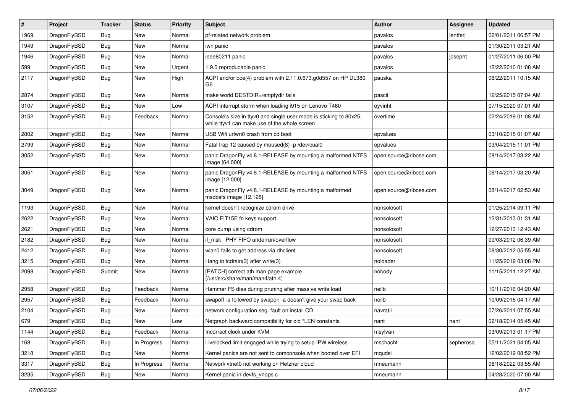| $\vert$ # | Project      | <b>Tracker</b> | <b>Status</b> | <b>Priority</b> | <b>Subject</b>                                                                                                     | <b>Author</b>          | <b>Assignee</b> | <b>Updated</b>      |
|-----------|--------------|----------------|---------------|-----------------|--------------------------------------------------------------------------------------------------------------------|------------------------|-----------------|---------------------|
| 1969      | DragonFlyBSD | <b>Bug</b>     | <b>New</b>    | Normal          | pf-related network problem                                                                                         | pavalos                | lentferj        | 02/01/2011 06:57 PM |
| 1949      | DragonFlyBSD | <b>Bug</b>     | <b>New</b>    | Normal          | iwn panic                                                                                                          | pavalos                |                 | 01/30/2011 03:21 AM |
| 1946      | DragonFlyBSD | <b>Bug</b>     | <b>New</b>    | Normal          | ieee80211 panic                                                                                                    | pavalos                | josepht         | 01/27/2011 06:00 PM |
| 599       | DragonFlyBSD | Bug            | <b>New</b>    | Urgent          | 1.9.0 reproducable panic                                                                                           | pavalos                |                 | 12/22/2010 01:08 AM |
| 2117      | DragonFlyBSD | Bug            | <b>New</b>    | High            | ACPI and/or bce(4) problem with 2.11.0.673.g0d557 on HP DL380<br>G6                                                | pauska                 |                 | 08/22/2011 10:15 AM |
| 2874      | DragonFlyBSD | Bug            | <b>New</b>    | Normal          | make world DESTDIR=/emptydir fails                                                                                 | pascii                 |                 | 12/25/2015 07:04 AM |
| 3107      | DragonFlyBSD | <b>Bug</b>     | New           | Low             | ACPI interrupt storm when loading i915 on Lenovo T460                                                              | oyvinht                |                 | 07/15/2020 07:01 AM |
| 3152      | DragonFlyBSD | Bug            | Feedback      | Normal          | Console's size in ttyv0 and single user mode is sticking to 80x25,<br>while ttyv1 can make use of the whole screen | overtime               |                 | 02/24/2019 01:08 AM |
| 2802      | DragonFlyBSD | <b>Bug</b>     | <b>New</b>    | Normal          | USB Wifi urtwn0 crash from cd boot                                                                                 | opvalues               |                 | 03/10/2015 01:07 AM |
| 2799      | DragonFlyBSD | Bug            | New           | Normal          | Fatal trap 12 caused by moused(8) -p/dev/cual0                                                                     | opvalues               |                 | 03/04/2015 11:01 PM |
| 3052      | DragonFlyBSD | <b>Bug</b>     | <b>New</b>    | Normal          | panic DragonFly v4.8.1-RELEASE by mounting a malformed NTFS<br>image [64.000]                                      | open.source@ribose.com |                 | 08/14/2017 03:22 AM |
| 3051      | DragonFlyBSD | Bug            | <b>New</b>    | Normal          | panic DragonFly v4.8.1-RELEASE by mounting a malformed NTFS<br>image [12.000]                                      | open.source@ribose.com |                 | 08/14/2017 03:20 AM |
| 3049      | DragonFlyBSD | Bug            | <b>New</b>    | Normal          | panic DragonFly v4.8.1-RELEASE by mounting a malformed<br>msdosfs image [12.128]                                   | open.source@ribose.com |                 | 08/14/2017 02:53 AM |
| 1193      | DragonFlyBSD | <b>Bug</b>     | <b>New</b>    | Normal          | kernel doesn't recognize cdrom drive                                                                               | nonsolosoft            |                 | 01/25/2014 09:11 PM |
| 2622      | DragonFlyBSD | Bug            | New           | Normal          | VAIO FIT15E fn keys support                                                                                        | nonsolosoft            |                 | 12/31/2013 01:31 AM |
| 2621      | DragonFlyBSD | <b>Bug</b>     | <b>New</b>    | Normal          | core dump using cdrom                                                                                              | nonsolosoft            |                 | 12/27/2013 12:43 AM |
| 2182      | DragonFlyBSD | <b>Bug</b>     | <b>New</b>    | Normal          | if msk PHY FIFO underrun/overflow                                                                                  | nonsolosoft            |                 | 09/03/2012 06:39 AM |
| 2412      | DragonFlyBSD | Bug            | <b>New</b>    | Normal          | wlan0 fails to get address via dhclient                                                                            | nonsolosoft            |                 | 08/30/2012 05:55 AM |
| 3215      | DragonFlyBSD | <b>Bug</b>     | <b>New</b>    | Normal          | Hang in tcdrain(3) after write(3)                                                                                  | noloader               |                 | 11/25/2019 03:08 PM |
| 2098      | DragonFlyBSD | Submit         | <b>New</b>    | Normal          | [PATCH] correct ath man page example<br>(/usr/src/share/man/man4/ath.4)                                            | nobody                 |                 | 11/15/2011 12:27 AM |
| 2958      | DragonFlyBSD | <b>Bug</b>     | Feedback      | Normal          | Hammer FS dies during pruning after massive write load                                                             | neilb                  |                 | 10/11/2016 04:20 AM |
| 2957      | DragonFlyBSD | Bug            | Feedback      | Normal          | swapoff -a followed by swapon -a doesn't give your swap back                                                       | neilb                  |                 | 10/09/2016 04:17 AM |
| 2104      | DragonFlyBSD | <b>Bug</b>     | <b>New</b>    | Normal          | network configuration seg. fault on install CD                                                                     | navratil               |                 | 07/26/2011 07:55 AM |
| 679       | DragonFlyBSD | Bug            | New           | Low             | Netgraph backward compatibility for old *LEN constants                                                             | nant                   | nant            | 02/18/2014 05:45 AM |
| 1144      | DragonFlyBSD | Bug            | Feedback      | Normal          | Incorrect clock under KVM                                                                                          | msylvan                |                 | 03/09/2013 01:17 PM |
| 168       | DragonFlyBSD | <b>Bug</b>     | In Progress   | Normal          | Livelocked limit engaged while trying to setup IPW wireless                                                        | mschacht               | sepherosa       | 05/11/2021 04:05 AM |
| 3218      | DragonFlyBSD | <b>Bug</b>     | New           | Normal          | Kernel panics are not sent to comconsole when booted over EFI                                                      | mqudsi                 |                 | 12/02/2019 08:52 PM |
| 3317      | DragonFlyBSD | Bug            | In Progress   | Normal          | Network vtnet0 not working on Hetzner cloud                                                                        | mneumann               |                 | 06/18/2022 03:55 AM |
| 3235      | DragonFlyBSD | <b>Bug</b>     | New           | Normal          | Kernel panic in devfs_vnops.c                                                                                      | mneumann               |                 | 04/28/2020 07:00 AM |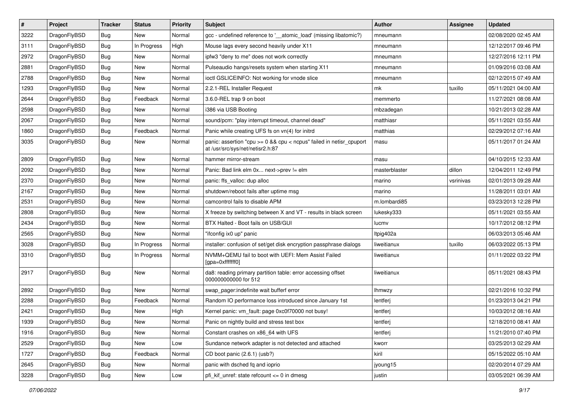| $\sharp$ | Project      | <b>Tracker</b> | <b>Status</b> | <b>Priority</b> | <b>Subject</b>                                                                                          | Author        | Assignee  | <b>Updated</b>      |
|----------|--------------|----------------|---------------|-----------------|---------------------------------------------------------------------------------------------------------|---------------|-----------|---------------------|
| 3222     | DragonFlyBSD | <b>Bug</b>     | New           | Normal          | gcc - undefined reference to '__atomic_load' (missing libatomic?)                                       | mneumann      |           | 02/08/2020 02:45 AM |
| 3111     | DragonFlyBSD | <b>Bug</b>     | In Progress   | High            | Mouse lags every second heavily under X11                                                               | mneumann      |           | 12/12/2017 09:46 PM |
| 2972     | DragonFlyBSD | <b>Bug</b>     | New           | Normal          | ipfw3 "deny to me" does not work correctly                                                              | mneumann      |           | 12/27/2016 12:11 PM |
| 2881     | DragonFlyBSD | <b>Bug</b>     | New           | Normal          | Pulseaudio hangs/resets system when starting X11                                                        | mneumann      |           | 01/09/2016 03:08 AM |
| 2788     | DragonFlyBSD | <b>Bug</b>     | <b>New</b>    | Normal          | ioctl GSLICEINFO: Not working for vnode slice                                                           | mneumann      |           | 02/12/2015 07:49 AM |
| 1293     | DragonFlyBSD | Bug            | New           | Normal          | 2.2.1-REL Installer Request                                                                             | mk            | tuxillo   | 05/11/2021 04:00 AM |
| 2644     | DragonFlyBSD | <b>Bug</b>     | Feedback      | Normal          | 3.6.0-REL trap 9 on boot                                                                                | memmerto      |           | 11/27/2021 08:08 AM |
| 2598     | DragonFlyBSD | <b>Bug</b>     | New           | Normal          | i386 via USB Booting                                                                                    | mbzadegan     |           | 10/21/2013 02:28 AM |
| 2067     | DragonFlyBSD | <b>Bug</b>     | New           | Normal          | sound/pcm: "play interrupt timeout, channel dead"                                                       | matthiasr     |           | 05/11/2021 03:55 AM |
| 1860     | DragonFlyBSD | <b>Bug</b>     | Feedback      | Normal          | Panic while creating UFS fs on vn(4) for initrd                                                         | matthias      |           | 02/29/2012 07:16 AM |
| 3035     | DragonFlyBSD | <b>Bug</b>     | New           | Normal          | panic: assertion "cpu >= 0 && cpu < ncpus" failed in netisr_cpuport<br>at /usr/src/sys/net/netisr2.h:87 | masu          |           | 05/11/2017 01:24 AM |
| 2809     | DragonFlyBSD | <b>Bug</b>     | <b>New</b>    | Normal          | hammer mirror-stream                                                                                    | masu          |           | 04/10/2015 12:33 AM |
| 2092     | DragonFlyBSD | <b>Bug</b>     | New           | Normal          | Panic: Bad link elm 0x next->prev != elm                                                                | masterblaster | dillon    | 12/04/2011 12:49 PM |
| 2370     | DragonFlyBSD | <b>Bug</b>     | New           | Normal          | panic: ffs_valloc: dup alloc                                                                            | marino        | vsrinivas | 02/01/2013 09:28 AM |
| 2167     | DragonFlyBSD | <b>Bug</b>     | <b>New</b>    | Normal          | shutdown/reboot fails after uptime msg                                                                  | marino        |           | 11/28/2011 03:01 AM |
| 2531     | DragonFlyBSD | <b>Bug</b>     | New           | Normal          | camcontrol fails to disable APM                                                                         | m.lombardi85  |           | 03/23/2013 12:28 PM |
| 2808     | DragonFlyBSD | <b>Bug</b>     | New           | Normal          | X freeze by switching between X and VT - results in black screen                                        | lukesky333    |           | 05/11/2021 03:55 AM |
| 2434     | DragonFlyBSD | <b>Bug</b>     | New           | Normal          | BTX Halted - Boot fails on USB/GUI                                                                      | lucmv         |           | 10/17/2012 08:12 PM |
| 2565     | DragonFlyBSD | <b>Bug</b>     | New           | Normal          | "ifconfig ix0 up" panic                                                                                 | Itpig402a     |           | 06/03/2013 05:46 AM |
| 3028     | DragonFlyBSD | <b>Bug</b>     | In Progress   | Normal          | installer: confusion of set/get disk encryption passphrase dialogs                                      | liweitianux   | tuxillo   | 06/03/2022 05:13 PM |
| 3310     | DragonFlyBSD | <b>Bug</b>     | In Progress   | Normal          | NVMM+QEMU fail to boot with UEFI: Mem Assist Failed<br>[gpa=0xfffffff0]                                 | liweitianux   |           | 01/11/2022 03:22 PM |
| 2917     | DragonFlyBSD | Bug            | <b>New</b>    | Normal          | da8: reading primary partition table: error accessing offset<br>000000000000 for 512                    | liweitianux   |           | 05/11/2021 08:43 PM |
| 2892     | DragonFlyBSD | <b>Bug</b>     | <b>New</b>    | Normal          | swap_pager:indefinite wait bufferf error                                                                | <b>Ihmwzy</b> |           | 02/21/2016 10:32 PM |
| 2288     | DragonFlyBSD | Bug            | Feedback      | Normal          | Random IO performance loss introduced since January 1st                                                 | lentferj      |           | 01/23/2013 04:21 PM |
| 2421     | DragonFlyBSD | <b>Bug</b>     | New           | High            | Kernel panic: vm_fault: page 0xc0f70000 not busy!                                                       | lentferj      |           | 10/03/2012 08:16 AM |
| 1939     | DragonFlyBSD | Bug            | New           | Normal          | Panic on nightly build and stress test box                                                              | lentferj      |           | 12/18/2010 08:41 AM |
| 1916     | DragonFlyBSD | <b>Bug</b>     | New           | Normal          | Constant crashes on x86_64 with UFS                                                                     | lentferj      |           | 11/21/2010 07:40 PM |
| 2529     | DragonFlyBSD | <b>Bug</b>     | New           | Low             | Sundance network adapter is not detected and attached                                                   | kworr         |           | 03/25/2013 02:29 AM |
| 1727     | DragonFlyBSD | <b>Bug</b>     | Feedback      | Normal          | CD boot panic (2.6.1) (usb?)                                                                            | kiril         |           | 05/15/2022 05:10 AM |
| 2645     | DragonFlyBSD | <b>Bug</b>     | New           | Normal          | panic with dsched fq and ioprio                                                                         | jyoung15      |           | 02/20/2014 07:29 AM |
| 3228     | DragonFlyBSD | <b>Bug</b>     | New           | Low             | pfi_kif_unref: state refcount <= 0 in dmesg                                                             | justin        |           | 03/05/2021 06:39 AM |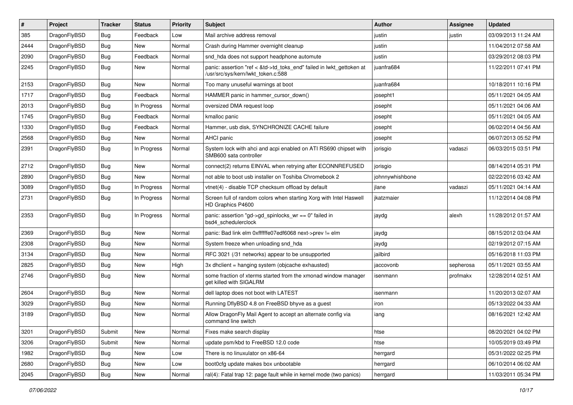| ∦    | Project      | <b>Tracker</b> | <b>Status</b> | <b>Priority</b> | <b>Subject</b>                                                                                             | Author          | Assignee  | <b>Updated</b>      |
|------|--------------|----------------|---------------|-----------------|------------------------------------------------------------------------------------------------------------|-----------------|-----------|---------------------|
| 385  | DragonFlyBSD | Bug            | Feedback      | Low             | Mail archive address removal                                                                               | justin          | justin    | 03/09/2013 11:24 AM |
| 2444 | DragonFlyBSD | <b>Bug</b>     | New           | Normal          | Crash during Hammer overnight cleanup                                                                      | justin          |           | 11/04/2012 07:58 AM |
| 2090 | DragonFlyBSD | <b>Bug</b>     | Feedback      | Normal          | snd hda does not support headphone automute                                                                | justin          |           | 03/29/2012 08:03 PM |
| 2245 | DragonFlyBSD | Bug            | New           | Normal          | panic: assertion "ref < &td->td_toks_end" failed in lwkt_gettoken at<br>/usr/src/sys/kern/lwkt_token.c:588 | juanfra684      |           | 11/22/2011 07:41 PM |
| 2153 | DragonFlyBSD | <b>Bug</b>     | New           | Normal          | Too many unuseful warnings at boot                                                                         | juanfra684      |           | 10/18/2011 10:16 PM |
| 1717 | DragonFlyBSD | Bug            | Feedback      | Normal          | HAMMER panic in hammer cursor down()                                                                       | josepht1        |           | 05/11/2021 04:05 AM |
| 2013 | DragonFlyBSD | <b>Bug</b>     | In Progress   | Normal          | oversized DMA request loop                                                                                 | josepht         |           | 05/11/2021 04:06 AM |
| 1745 | DragonFlyBSD | <b>Bug</b>     | Feedback      | Normal          | kmalloc panic                                                                                              | josepht         |           | 05/11/2021 04:05 AM |
| 1330 | DragonFlyBSD | <b>Bug</b>     | Feedback      | Normal          | Hammer, usb disk, SYNCHRONIZE CACHE failure                                                                | josepht         |           | 06/02/2014 04:56 AM |
| 2568 | DragonFlyBSD | <b>Bug</b>     | New           | Normal          | AHCI panic                                                                                                 | josepht         |           | 06/07/2013 05:52 PM |
| 2391 | DragonFlyBSD | Bug            | In Progress   | Normal          | System lock with ahci and acpi enabled on ATI RS690 chipset with<br>SMB600 sata controller                 | jorisgio        | vadaszi   | 06/03/2015 03:51 PM |
| 2712 | DragonFlyBSD | <b>Bug</b>     | New           | Normal          | connect(2) returns EINVAL when retrying after ECONNREFUSED                                                 | jorisgio        |           | 08/14/2014 05:31 PM |
| 2890 | DragonFlyBSD | Bug            | <b>New</b>    | Normal          | not able to boot usb installer on Toshiba Chromebook 2                                                     | johnnywhishbone |           | 02/22/2016 03:42 AM |
| 3089 | DragonFlyBSD | <b>Bug</b>     | In Progress   | Normal          | vtnet(4) - disable TCP checksum offload by default                                                         | jlane           | vadaszi   | 05/11/2021 04:14 AM |
| 2731 | DragonFlyBSD | Bug            | In Progress   | Normal          | Screen full of random colors when starting Xorg with Intel Haswell<br>HD Graphics P4600                    | jkatzmaier      |           | 11/12/2014 04:08 PM |
| 2353 | DragonFlyBSD | Bug            | In Progress   | Normal          | panic: assertion "gd->gd spinlocks $wr == 0$ " failed in<br>bsd4 schedulerclock                            | jaydg           | alexh     | 11/28/2012 01:57 AM |
| 2369 | DragonFlyBSD | Bug            | <b>New</b>    | Normal          | panic: Bad link elm 0xffffffe07edf6068 next->prev != elm                                                   | jaydg           |           | 08/15/2012 03:04 AM |
| 2308 | DragonFlyBSD | <b>Bug</b>     | New           | Normal          | System freeze when unloading snd hda                                                                       | jaydg           |           | 02/19/2012 07:15 AM |
| 3134 | DragonFlyBSD | Bug            | <b>New</b>    | Normal          | RFC 3021 (/31 networks) appear to be unsupported                                                           | jailbird        |           | 05/16/2018 11:03 PM |
| 2825 | DragonFlyBSD | <b>Bug</b>     | New           | High            | 3x dhclient = hanging system (objcache exhausted)                                                          | jaccovonb       | sepherosa | 05/11/2021 03:55 AM |
| 2746 | DragonFlyBSD | Bug            | New           | Normal          | some fraction of xterms started from the xmonad window manager<br>get killed with SIGALRM                  | isenmann        | profmakx  | 12/28/2014 02:51 AM |
| 2604 | DragonFlyBSD | <b>Bug</b>     | <b>New</b>    | Normal          | dell laptop does not boot with LATEST                                                                      | isenmann        |           | 11/20/2013 02:07 AM |
| 3029 | DragonFlyBSD | Bug            | <b>New</b>    | Normal          | Running DflyBSD 4.8 on FreeBSD bhyve as a quest                                                            | iron            |           | 05/13/2022 04:33 AM |
| 3189 | DragonFlyBSD | Bug            | <b>New</b>    | Normal          | Allow DragonFly Mail Agent to accept an alternate config via<br>command line switch                        | iang            |           | 08/16/2021 12:42 AM |
| 3201 | DragonFlyBSD | Submit         | New           | Normal          | Fixes make search display                                                                                  | htse            |           | 08/20/2021 04:02 PM |
| 3206 | DragonFlyBSD | Submit         | New           | Normal          | update psm/kbd to FreeBSD 12.0 code                                                                        | htse            |           | 10/05/2019 03:49 PM |
| 1982 | DragonFlyBSD | <b>Bug</b>     | New           | Low             | There is no linuxulator on x86-64                                                                          | herrgard        |           | 05/31/2022 02:25 PM |
| 2680 | DragonFlyBSD | <b>Bug</b>     | New           | Low             | boot0cfg update makes box unbootable                                                                       | herrgard        |           | 06/10/2014 06:02 AM |
| 2045 | DragonFlyBSD | Bug            | New           | Normal          | ral(4): Fatal trap 12: page fault while in kernel mode (two panics)                                        | herrgard        |           | 11/03/2011 05:34 PM |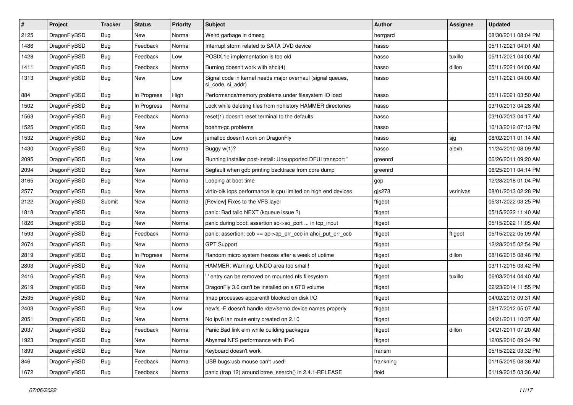| $\vert$ # | Project      | <b>Tracker</b> | <b>Status</b> | <b>Priority</b> | Subject                                                                         | Author    | <b>Assignee</b> | <b>Updated</b>      |
|-----------|--------------|----------------|---------------|-----------------|---------------------------------------------------------------------------------|-----------|-----------------|---------------------|
| 2125      | DragonFlyBSD | <b>Bug</b>     | <b>New</b>    | Normal          | Weird garbage in dmesg                                                          | herrgard  |                 | 08/30/2011 08:04 PM |
| 1486      | DragonFlyBSD | <b>Bug</b>     | Feedback      | Normal          | Interrupt storm related to SATA DVD device                                      | hasso     |                 | 05/11/2021 04:01 AM |
| 1428      | DragonFlyBSD | <b>Bug</b>     | Feedback      | Low             | POSIX.1e implementation is too old                                              | hasso     | tuxillo         | 05/11/2021 04:00 AM |
| 1411      | DragonFlyBSD | Bug            | Feedback      | Normal          | Burning doesn't work with ahci(4)                                               | hasso     | dillon          | 05/11/2021 04:00 AM |
| 1313      | DragonFlyBSD | Bug            | New           | Low             | Signal code in kernel needs major overhaul (signal queues,<br>si code, si addr) | hasso     |                 | 05/11/2021 04:00 AM |
| 884       | DragonFlyBSD | Bug            | In Progress   | High            | Performance/memory problems under filesystem IO load                            | hasso     |                 | 05/11/2021 03:50 AM |
| 1502      | DragonFlyBSD | <b>Bug</b>     | In Progress   | Normal          | Lock while deleting files from nohistory HAMMER directories                     | hasso     |                 | 03/10/2013 04:28 AM |
| 1563      | DragonFlyBSD | <b>Bug</b>     | Feedback      | Normal          | reset(1) doesn't reset terminal to the defaults                                 | hasso     |                 | 03/10/2013 04:17 AM |
| 1525      | DragonFlyBSD | <b>Bug</b>     | <b>New</b>    | Normal          | boehm-gc problems                                                               | hasso     |                 | 10/13/2012 07:13 PM |
| 1532      | DragonFlyBSD | <b>Bug</b>     | <b>New</b>    | Low             | jemalloc doesn't work on DragonFly                                              | hasso     | sjg             | 08/02/2011 01:14 AM |
| 1430      | DragonFlyBSD | Bug            | New           | Normal          | Buggy w(1)?                                                                     | hasso     | alexh           | 11/24/2010 08:09 AM |
| 2095      | DragonFlyBSD | <b>Bug</b>     | <b>New</b>    | Low             | Running installer post-install: Unsupported DFUI transport "                    | greenrd   |                 | 06/26/2011 09:20 AM |
| 2094      | DragonFlyBSD | <b>Bug</b>     | New           | Normal          | Segfault when gdb printing backtrace from core dump                             | greenrd   |                 | 06/25/2011 04:14 PM |
| 3165      | DragonFlyBSD | <b>Bug</b>     | <b>New</b>    | Normal          | Looping at boot time                                                            | gop       |                 | 12/28/2018 01:04 PM |
| 2577      | DragonFlyBSD | <b>Bug</b>     | New           | Normal          | virtio-blk iops performance is cpu limited on high end devices                  | gjs278    | vsrinivas       | 08/01/2013 02:28 PM |
| 2122      | DragonFlyBSD | Submit         | <b>New</b>    | Normal          | [Review] Fixes to the VFS layer                                                 | ftigeot   |                 | 05/31/2022 03:25 PM |
| 1818      | DragonFlyBSD | <b>Bug</b>     | <b>New</b>    | Normal          | panic: Bad tailq NEXT (kqueue issue ?)                                          | ftigeot   |                 | 05/15/2022 11:40 AM |
| 1826      | DragonFlyBSD | <b>Bug</b>     | New           | Normal          | panic during boot: assertion so->so_port  in tcp_input                          | ftigeot   |                 | 05/15/2022 11:05 AM |
| 1593      | DragonFlyBSD | Bug            | Feedback      | Normal          | panic: assertion: ccb == ap->ap_err_ccb in ahci_put_err_ccb                     | ftigeot   | ftigeot         | 05/15/2022 05:09 AM |
| 2674      | DragonFlyBSD | <b>Bug</b>     | New           | Normal          | <b>GPT Support</b>                                                              | ftigeot   |                 | 12/28/2015 02:54 PM |
| 2819      | DragonFlyBSD | <b>Bug</b>     | In Progress   | Normal          | Random micro system freezes after a week of uptime                              | ftigeot   | dillon          | 08/16/2015 08:46 PM |
| 2803      | DragonFlyBSD | Bug            | <b>New</b>    | Normal          | HAMMER: Warning: UNDO area too small!                                           | ftigeot   |                 | 03/11/2015 03:42 PM |
| 2416      | DragonFlyBSD | <b>Bug</b>     | New           | Normal          | ".' entry can be removed on mounted nfs filesystem                              | ftigeot   | tuxillo         | 06/03/2014 04:40 AM |
| 2619      | DragonFlyBSD | Bug            | <b>New</b>    | Normal          | DragonFly 3.6 can't be installed on a 6TB volume                                | ftigeot   |                 | 02/23/2014 11:55 PM |
| 2535      | DragonFlyBSD | <b>Bug</b>     | New           | Normal          | Imap processes apparentlt blocked on disk I/O                                   | ftigeot   |                 | 04/02/2013 09:31 AM |
| 2403      | DragonFlyBSD | <b>Bug</b>     | New           | Low             | newfs -E doesn't handle /dev/serno device names properly                        | ftigeot   |                 | 08/17/2012 05:07 AM |
| 2051      | DragonFlyBSD | <b>Bug</b>     | <b>New</b>    | Normal          | No ipv6 lan route entry created on 2.10                                         | ftigeot   |                 | 04/21/2011 10:37 AM |
| 2037      | DragonFlyBSD | <b>Bug</b>     | Feedback      | Normal          | Panic Bad link elm while building packages                                      | ftigeot   | dillon          | 04/21/2011 07:20 AM |
| 1923      | DragonFlyBSD | <b>Bug</b>     | New           | Normal          | Abysmal NFS performance with IPv6                                               | ftigeot   |                 | 12/05/2010 09:34 PM |
| 1899      | DragonFlyBSD | <b>Bug</b>     | New           | Normal          | Keyboard doesn't work                                                           | fransm    |                 | 05/15/2022 03:32 PM |
| 846       | DragonFlyBSD | <b>Bug</b>     | Feedback      | Normal          | USB bugs:usb mouse can't used!                                                  | frankning |                 | 01/15/2015 08:36 AM |
| 1672      | DragonFlyBSD | <b>Bug</b>     | Feedback      | Normal          | panic (trap 12) around btree_search() in 2.4.1-RELEASE                          | floid     |                 | 01/19/2015 03:36 AM |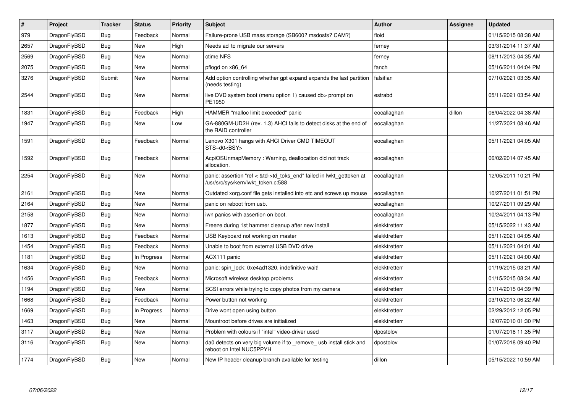| $\vert$ # | Project      | <b>Tracker</b> | <b>Status</b> | <b>Priority</b> | Subject                                                                                                    | <b>Author</b> | Assignee | <b>Updated</b>      |
|-----------|--------------|----------------|---------------|-----------------|------------------------------------------------------------------------------------------------------------|---------------|----------|---------------------|
| 979       | DragonFlyBSD | Bug            | Feedback      | Normal          | Failure-prone USB mass storage (SB600? msdosfs? CAM?)                                                      | floid         |          | 01/15/2015 08:38 AM |
| 2657      | DragonFlyBSD | <b>Bug</b>     | <b>New</b>    | High            | Needs acl to migrate our servers                                                                           | ferney        |          | 03/31/2014 11:37 AM |
| 2569      | DragonFlyBSD | Bug            | <b>New</b>    | Normal          | ctime NFS                                                                                                  | ferney        |          | 08/11/2013 04:35 AM |
| 2075      | DragonFlyBSD | Bug            | <b>New</b>    | Normal          | pflogd on x86 64                                                                                           | fanch         |          | 05/16/2011 04:04 PM |
| 3276      | DragonFlyBSD | Submit         | New           | Normal          | Add option controlling whether gpt expand expands the last partition<br>(needs testing)                    | falsifian     |          | 07/10/2021 03:35 AM |
| 2544      | DragonFlyBSD | <b>Bug</b>     | New           | Normal          | live DVD system boot (menu option 1) caused db> prompt on<br>PE1950                                        | estrabd       |          | 05/11/2021 03:54 AM |
| 1831      | DragonFlyBSD | <b>Bug</b>     | Feedback      | High            | HAMMER "malloc limit exceeded" panic                                                                       | eocallaghan   | dillon   | 06/04/2022 04:38 AM |
| 1947      | DragonFlyBSD | <b>Bug</b>     | <b>New</b>    | Low             | GA-880GM-UD2H (rev. 1.3) AHCI fails to detect disks at the end of<br>the RAID controller                   | eocallaghan   |          | 11/27/2021 08:46 AM |
| 1591      | DragonFlyBSD | <b>Bug</b>     | Feedback      | Normal          | Lenovo X301 hangs with AHCI Driver CMD TIMEOUT<br>STS=d0 <bsy></bsy>                                       | eocallaghan   |          | 05/11/2021 04:05 AM |
| 1592      | DragonFlyBSD | Bug            | Feedback      | Normal          | AcpiOSUnmapMemory: Warning, deallocation did not track<br>allocation.                                      | eocallaghan   |          | 06/02/2014 07:45 AM |
| 2254      | DragonFlyBSD | <b>Bug</b>     | <b>New</b>    | Normal          | panic: assertion "ref < &td->td_toks_end" failed in lwkt_gettoken at<br>/usr/src/sys/kern/lwkt_token.c:588 | eocallaghan   |          | 12/05/2011 10:21 PM |
| 2161      | DragonFlyBSD | Bug            | <b>New</b>    | Normal          | Outdated xorg.conf file gets installed into etc and screws up mouse                                        | eocallaghan   |          | 10/27/2011 01:51 PM |
| 2164      | DragonFlyBSD | Bug            | <b>New</b>    | Normal          | panic on reboot from usb.                                                                                  | eocallaghan   |          | 10/27/2011 09:29 AM |
| 2158      | DragonFlyBSD | Bug            | New           | Normal          | iwn panics with assertion on boot.                                                                         | eocallaghan   |          | 10/24/2011 04:13 PM |
| 1877      | DragonFlyBSD | Bug            | <b>New</b>    | Normal          | Freeze during 1st hammer cleanup after new install                                                         | elekktretterr |          | 05/15/2022 11:43 AM |
| 1613      | DragonFlyBSD | Bug            | Feedback      | Normal          | USB Keyboard not working on master                                                                         | elekktretterr |          | 05/11/2021 04:05 AM |
| 1454      | DragonFlyBSD | <b>Bug</b>     | Feedback      | Normal          | Unable to boot from external USB DVD drive                                                                 | elekktretterr |          | 05/11/2021 04:01 AM |
| 1181      | DragonFlyBSD | <b>Bug</b>     | In Progress   | Normal          | ACX111 panic                                                                                               | elekktretterr |          | 05/11/2021 04:00 AM |
| 1634      | DragonFlyBSD | Bug            | New           | Normal          | panic: spin lock: 0xe4ad1320, indefinitive wait!                                                           | elekktretterr |          | 01/19/2015 03:21 AM |
| 1456      | DragonFlyBSD | Bug            | Feedback      | Normal          | Microsoft wireless desktop problems                                                                        | elekktretterr |          | 01/15/2015 08:34 AM |
| 1194      | DragonFlyBSD | <b>Bug</b>     | <b>New</b>    | Normal          | SCSI errors while trying to copy photos from my camera                                                     | elekktretterr |          | 01/14/2015 04:39 PM |
| 1668      | DragonFlyBSD | <b>Bug</b>     | Feedback      | Normal          | Power button not working                                                                                   | elekktretterr |          | 03/10/2013 06:22 AM |
| 1669      | DragonFlyBSD | Bug            | In Progress   | Normal          | Drive wont open using button                                                                               | elekktretterr |          | 02/29/2012 12:05 PM |
| 1463      | DragonFlyBSD | Bug            | New           | Normal          | Mountroot before drives are initialized                                                                    | elekktretterr |          | 12/07/2010 01:30 PM |
| 3117      | DragonFlyBSD | <b>Bug</b>     | <b>New</b>    | Normal          | Problem with colours if "intel" video-driver used                                                          | dpostolov     |          | 01/07/2018 11:35 PM |
| 3116      | DragonFlyBSD | <b>Bug</b>     | <b>New</b>    | Normal          | da0 detects on very big volume if to _remove_ usb install stick and<br>reboot on Intel NUC5PPYH            | dpostolov     |          | 01/07/2018 09:40 PM |
| 1774      | DragonFlyBSD | Bug            | <b>New</b>    | Normal          | New IP header cleanup branch available for testing                                                         | dillon        |          | 05/15/2022 10:59 AM |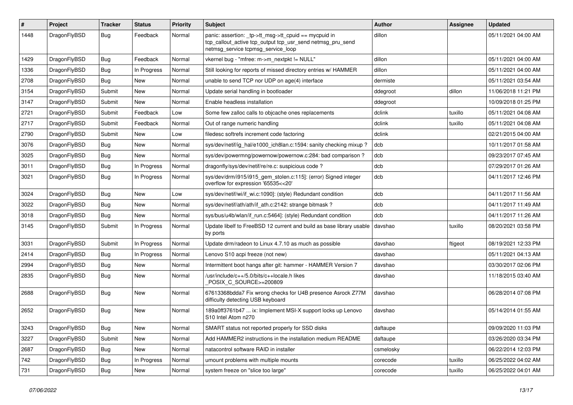| #    | Project      | <b>Tracker</b> | <b>Status</b> | <b>Priority</b> | Subject                                                                                                                                                   | <b>Author</b> | Assignee | <b>Updated</b>      |
|------|--------------|----------------|---------------|-----------------|-----------------------------------------------------------------------------------------------------------------------------------------------------------|---------------|----------|---------------------|
| 1448 | DragonFlyBSD | Bug            | Feedback      | Normal          | panic: assertion: _tp->tt_msg->tt_cpuid == mycpuid in<br>tcp_callout_active tcp_output tcp_usr_send netmsg_pru_send<br>netmsg_service tcpmsg_service_loop | dillon        |          | 05/11/2021 04:00 AM |
| 1429 | DragonFlyBSD | Bug            | Feedback      | Normal          | vkernel bug - "mfree: m->m_nextpkt != NULL"                                                                                                               | dillon        |          | 05/11/2021 04:00 AM |
| 1336 | DragonFlyBSD | Bug            | In Progress   | Normal          | Still looking for reports of missed directory entries w/ HAMMER                                                                                           | dillon        |          | 05/11/2021 04:00 AM |
| 2708 | DragonFlyBSD | <b>Bug</b>     | New           | Normal          | unable to send TCP nor UDP on age(4) interface                                                                                                            | dermiste      |          | 05/11/2021 03:54 AM |
| 3154 | DragonFlyBSD | Submit         | <b>New</b>    | Normal          | Update serial handling in bootloader                                                                                                                      | ddegroot      | dillon   | 11/06/2018 11:21 PM |
| 3147 | DragonFlyBSD | Submit         | New           | Normal          | Enable headless installation                                                                                                                              | ddegroot      |          | 10/09/2018 01:25 PM |
| 2721 | DragonFlyBSD | Submit         | Feedback      | Low             | Some few zalloc calls to objcache ones replacements                                                                                                       | dclink        | tuxillo  | 05/11/2021 04:08 AM |
| 2717 | DragonFlyBSD | Submit         | Feedback      | Normal          | Out of range numeric handling                                                                                                                             | dclink        | tuxillo  | 05/11/2021 04:08 AM |
| 2790 | DragonFlyBSD | Submit         | <b>New</b>    | Low             | filedesc softrefs increment code factoring                                                                                                                | dclink        |          | 02/21/2015 04:00 AM |
| 3076 | DragonFlyBSD | Bug            | <b>New</b>    | Normal          | sys/dev/netif/ig_hal/e1000_ich8lan.c:1594: sanity checking mixup?                                                                                         | dcb           |          | 10/11/2017 01:58 AM |
| 3025 | DragonFlyBSD | <b>Bug</b>     | New           | Normal          | sys/dev/powermng/powernow/powernow.c:284: bad comparison?                                                                                                 | dcb           |          | 09/23/2017 07:45 AM |
| 3011 | DragonFlyBSD | <b>Bug</b>     | In Progress   | Normal          | dragonfly/sys/dev/netif/re/re.c: suspicious code?                                                                                                         | dcb           |          | 07/29/2017 01:26 AM |
| 3021 | DragonFlyBSD | Bug            | In Progress   | Normal          | sys/dev/drm/i915/i915_gem_stolen.c:115]: (error) Signed integer<br>overflow for expression '65535<<20'                                                    | dcb           |          | 04/11/2017 12:46 PM |
| 3024 | DragonFlyBSD | Bug            | <b>New</b>    | Low             | sys/dev/netif/wi/if wi.c:1090]: (style) Redundant condition                                                                                               | dcb           |          | 04/11/2017 11:56 AM |
| 3022 | DragonFlyBSD | Bug            | <b>New</b>    | Normal          | sys/dev/netif/ath/ath/if_ath.c:2142: strange bitmask?                                                                                                     | dcb           |          | 04/11/2017 11:49 AM |
| 3018 | DragonFlyBSD | Bug            | New           | Normal          | sys/bus/u4b/wlan/if_run.c:5464]: (style) Redundant condition                                                                                              | dcb           |          | 04/11/2017 11:26 AM |
| 3145 | DragonFlyBSD | Submit         | In Progress   | Normal          | Update libelf to FreeBSD 12 current and build as base library usable<br>by ports                                                                          | davshao       | tuxillo  | 08/20/2021 03:58 PM |
| 3031 | DragonFlyBSD | Submit         | In Progress   | Normal          | Update drm/radeon to Linux 4.7.10 as much as possible                                                                                                     | davshao       | ftigeot  | 08/19/2021 12:33 PM |
| 2414 | DragonFlyBSD | <b>Bug</b>     | In Progress   | Normal          | Lenovo S10 acpi freeze (not new)                                                                                                                          | davshao       |          | 05/11/2021 04:13 AM |
| 2994 | DragonFlyBSD | Bug            | New           | Normal          | Intermittent boot hangs after git: hammer - HAMMER Version 7                                                                                              | davshao       |          | 03/30/2017 02:06 PM |
| 2835 | DragonFlyBSD | <b>Bug</b>     | New           | Normal          | /usr/include/c++/5.0/bits/c++locale.h likes<br>POSIX C_SOURCE>=200809                                                                                     | davshao       |          | 11/18/2015 03:40 AM |
| 2688 | DragonFlyBSD | <b>Bug</b>     | New           | Normal          | 67613368bdda7 Fix wrong checks for U4B presence Asrock Z77M<br>difficulty detecting USB keyboard                                                          | davshao       |          | 06/28/2014 07:08 PM |
| 2652 | DragonFlyBSD | <b>Bug</b>     | <b>New</b>    | Normal          | 189a0ff3761b47  ix: Implement MSI-X support locks up Lenovo<br>S10 Intel Atom n270                                                                        | davshao       |          | 05/14/2014 01:55 AM |
| 3243 | DragonFlyBSD | <b>Bug</b>     | <b>New</b>    | Normal          | SMART status not reported properly for SSD disks                                                                                                          | daftaupe      |          | 09/09/2020 11:03 PM |
| 3227 | DragonFlyBSD | Submit         | New           | Normal          | Add HAMMER2 instructions in the installation medium README                                                                                                | daftaupe      |          | 03/26/2020 03:34 PM |
| 2687 | DragonFlyBSD | <b>Bug</b>     | New           | Normal          | natacontrol software RAID in installer                                                                                                                    | csmelosky     |          | 06/22/2014 12:03 PM |
| 742  | DragonFlyBSD | Bug            | In Progress   | Normal          | umount problems with multiple mounts                                                                                                                      | corecode      | tuxillo  | 06/25/2022 04:02 AM |
| 731  | DragonFlyBSD | <b>Bug</b>     | New           | Normal          | system freeze on "slice too large"                                                                                                                        | corecode      | tuxillo  | 06/25/2022 04:01 AM |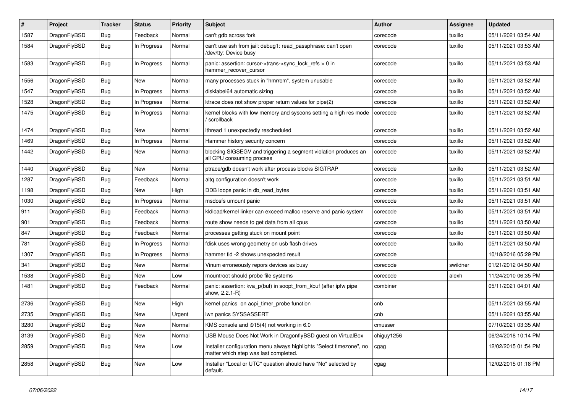| #    | Project      | <b>Tracker</b> | <b>Status</b> | <b>Priority</b> | Subject                                                                                                       | Author     | <b>Assignee</b> | <b>Updated</b>      |
|------|--------------|----------------|---------------|-----------------|---------------------------------------------------------------------------------------------------------------|------------|-----------------|---------------------|
| 1587 | DragonFlyBSD | Bug            | Feedback      | Normal          | can't gdb across fork                                                                                         | corecode   | tuxillo         | 05/11/2021 03:54 AM |
| 1584 | DragonFlyBSD | Bug            | In Progress   | Normal          | can't use ssh from jail: debug1: read_passphrase: can't open<br>/dev/tty: Device busy                         | corecode   | tuxillo         | 05/11/2021 03:53 AM |
| 1583 | DragonFlyBSD | Bug            | In Progress   | Normal          | panic: assertion: cursor->trans->sync_lock_refs > 0 in<br>hammer_recover_cursor                               | corecode   | tuxillo         | 05/11/2021 03:53 AM |
| 1556 | DragonFlyBSD | Bug            | New           | Normal          | many processes stuck in "hmrrcm", system unusable                                                             | corecode   | tuxillo         | 05/11/2021 03:52 AM |
| 1547 | DragonFlyBSD | Bug            | In Progress   | Normal          | disklabel64 automatic sizing                                                                                  | corecode   | tuxillo         | 05/11/2021 03:52 AM |
| 1528 | DragonFlyBSD | Bug            | In Progress   | Normal          | ktrace does not show proper return values for pipe(2)                                                         | corecode   | tuxillo         | 05/11/2021 03:52 AM |
| 1475 | DragonFlyBSD | Bug            | In Progress   | Normal          | kernel blocks with low memory and syscons setting a high res mode<br>scrollback                               | corecode   | tuxillo         | 05/11/2021 03:52 AM |
| 1474 | DragonFlyBSD | Bug            | <b>New</b>    | Normal          | ithread 1 unexpectedly rescheduled                                                                            | corecode   | tuxillo         | 05/11/2021 03:52 AM |
| 1469 | DragonFlyBSD | Bug            | In Progress   | Normal          | Hammer history security concern                                                                               | corecode   | tuxillo         | 05/11/2021 03:52 AM |
| 1442 | DragonFlyBSD | Bug            | New           | Normal          | blocking SIGSEGV and triggering a segment violation produces an<br>all CPU consuming process                  | corecode   | tuxillo         | 05/11/2021 03:52 AM |
| 1440 | DragonFlyBSD | Bug            | <b>New</b>    | Normal          | ptrace/gdb doesn't work after process blocks SIGTRAP                                                          | corecode   | tuxillo         | 05/11/2021 03:52 AM |
| 1287 | DragonFlyBSD | <b>Bug</b>     | Feedback      | Normal          | altg configuration doesn't work                                                                               | corecode   | tuxillo         | 05/11/2021 03:51 AM |
| 1198 | DragonFlyBSD | Bug            | New           | High            | DDB loops panic in db_read_bytes                                                                              | corecode   | tuxillo         | 05/11/2021 03:51 AM |
| 1030 | DragonFlyBSD | <b>Bug</b>     | In Progress   | Normal          | msdosfs umount panic                                                                                          | corecode   | tuxillo         | 05/11/2021 03:51 AM |
| 911  | DragonFlyBSD | <b>Bug</b>     | Feedback      | Normal          | kldload/kernel linker can exceed malloc reserve and panic system                                              | corecode   | tuxillo         | 05/11/2021 03:51 AM |
| 901  | DragonFlyBSD | <b>Bug</b>     | Feedback      | Normal          | route show needs to get data from all cpus                                                                    | corecode   | tuxillo         | 05/11/2021 03:50 AM |
| 847  | DragonFlyBSD | Bug            | Feedback      | Normal          | processes getting stuck on mount point                                                                        | corecode   | tuxillo         | 05/11/2021 03:50 AM |
| 781  | DragonFlyBSD | <b>Bug</b>     | In Progress   | Normal          | fdisk uses wrong geometry on usb flash drives                                                                 | corecode   | tuxillo         | 05/11/2021 03:50 AM |
| 1307 | DragonFlyBSD | Bug            | In Progress   | Normal          | hammer tid -2 shows unexpected result                                                                         | corecode   |                 | 10/18/2016 05:29 PM |
| 341  | DragonFlyBSD | <b>Bug</b>     | New           | Normal          | Vinum erroneously repors devices as busy                                                                      | corecode   | swildner        | 01/21/2012 04:50 AM |
| 1538 | DragonFlyBSD | Bug            | <b>New</b>    | Low             | mountroot should probe file systems                                                                           | corecode   | alexh           | 11/24/2010 06:35 PM |
| 1481 | DragonFlyBSD | Bug            | Feedback      | Normal          | panic: assertion: kva_p(buf) in soopt_from_kbuf (after ipfw pipe<br>show, 2.2.1-R)                            | combiner   |                 | 05/11/2021 04:01 AM |
| 2736 | DragonFlyBSD | Bug            | New           | High            | kernel panics on acpi timer probe function                                                                    | cnb        |                 | 05/11/2021 03:55 AM |
| 2735 | DragonFlyBSD | <b>Bug</b>     | <b>New</b>    | Urgent          | iwn panics SYSSASSERT                                                                                         | cnb        |                 | 05/11/2021 03:55 AM |
| 3280 | DragonFlyBSD | Bug            | New           | Normal          | KMS console and i915(4) not working in 6.0                                                                    | cmusser    |                 | 07/10/2021 03:35 AM |
| 3139 | DragonFlyBSD | <b>Bug</b>     | New           | Normal          | USB Mouse Does Not Work in DragonflyBSD guest on VirtualBox                                                   | chiguy1256 |                 | 06/24/2018 10:14 PM |
| 2859 | DragonFlyBSD | <b>Bug</b>     | New           | Low             | Installer configuration menu always highlights "Select timezone", no<br>matter which step was last completed. | cgag       |                 | 12/02/2015 01:54 PM |
| 2858 | DragonFlyBSD | <b>Bug</b>     | New           | Low             | Installer "Local or UTC" question should have "No" selected by<br>default.                                    | cgag       |                 | 12/02/2015 01:18 PM |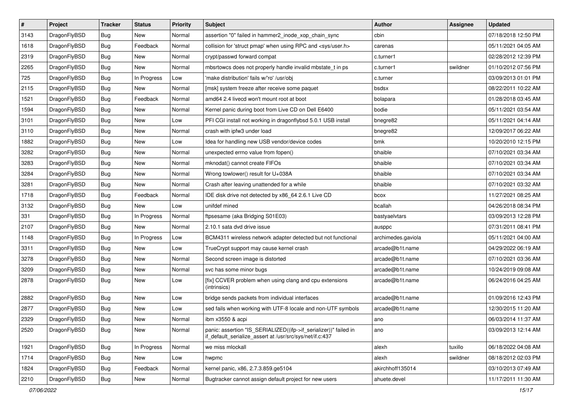| $\vert$ # | Project      | <b>Tracker</b> | <b>Status</b> | <b>Priority</b> | Subject                                                                                                                      | Author             | <b>Assignee</b> | <b>Updated</b>      |
|-----------|--------------|----------------|---------------|-----------------|------------------------------------------------------------------------------------------------------------------------------|--------------------|-----------------|---------------------|
| 3143      | DragonFlyBSD | <b>Bug</b>     | New           | Normal          | assertion "0" failed in hammer2 inode xop chain sync                                                                         | cbin               |                 | 07/18/2018 12:50 PM |
| 1618      | DragonFlyBSD | Bug            | Feedback      | Normal          | collision for 'struct pmap' when using RPC and <sys user.h=""></sys>                                                         | carenas            |                 | 05/11/2021 04:05 AM |
| 2319      | DragonFlyBSD | <b>Bug</b>     | <b>New</b>    | Normal          | crypt/passwd forward compat                                                                                                  | c.turner1          |                 | 02/28/2012 12:39 PM |
| 2265      | DragonFlyBSD | <b>Bug</b>     | <b>New</b>    | Normal          | mbsrtowcs does not properly handle invalid mbstate_t in ps                                                                   | c.turner1          | swildner        | 01/10/2012 07:56 PM |
| 725       | DragonFlyBSD | <b>Bug</b>     | In Progress   | Low             | 'make distribution' fails w/'ro' /usr/obj                                                                                    | c.turner           |                 | 03/09/2013 01:01 PM |
| 2115      | DragonFlyBSD | <b>Bug</b>     | New           | Normal          | [msk] system freeze after receive some paquet                                                                                | bsdsx              |                 | 08/22/2011 10:22 AM |
| 1521      | DragonFlyBSD | Bug            | Feedback      | Normal          | amd64 2.4 livecd won't mount root at boot                                                                                    | bolapara           |                 | 01/28/2018 03:45 AM |
| 1594      | DragonFlyBSD | Bug            | <b>New</b>    | Normal          | Kernel panic during boot from Live CD on Dell E6400                                                                          | bodie              |                 | 05/11/2021 03:54 AM |
| 3101      | DragonFlyBSD | <b>Bug</b>     | <b>New</b>    | Low             | PFI CGI install not working in dragonflybsd 5.0.1 USB install                                                                | bnegre82           |                 | 05/11/2021 04:14 AM |
| 3110      | DragonFlyBSD | <b>Bug</b>     | <b>New</b>    | Normal          | crash with ipfw3 under load                                                                                                  | bnegre82           |                 | 12/09/2017 06:22 AM |
| 1882      | DragonFlyBSD | Bug            | <b>New</b>    | Low             | Idea for handling new USB vendor/device codes                                                                                | bmk                |                 | 10/20/2010 12:15 PM |
| 3282      | DragonFlyBSD | Bug            | <b>New</b>    | Normal          | unexpected errno value from fopen()                                                                                          | bhaible            |                 | 07/10/2021 03:34 AM |
| 3283      | DragonFlyBSD | <b>Bug</b>     | <b>New</b>    | Normal          | mknodat() cannot create FIFOs                                                                                                | bhaible            |                 | 07/10/2021 03:34 AM |
| 3284      | DragonFlyBSD | Bug            | New           | Normal          | Wrong towlower() result for U+038A                                                                                           | bhaible            |                 | 07/10/2021 03:34 AM |
| 3281      | DragonFlyBSD | <b>Bug</b>     | <b>New</b>    | Normal          | Crash after leaving unattended for a while                                                                                   | bhaible            |                 | 07/10/2021 03:32 AM |
| 1718      | DragonFlyBSD | <b>Bug</b>     | Feedback      | Normal          | IDE disk drive not detected by x86_64 2.6.1 Live CD                                                                          | bcox               |                 | 11/27/2021 08:25 AM |
| 3132      | DragonFlyBSD | <b>Bug</b>     | <b>New</b>    | Low             | unifdef mined                                                                                                                | bcallah            |                 | 04/26/2018 08:34 PM |
| 331       | DragonFlyBSD | Bug            | In Progress   | Normal          | ftpsesame (aka Bridging S01E03)                                                                                              | bastyaelvtars      |                 | 03/09/2013 12:28 PM |
| 2107      | DragonFlyBSD | <b>Bug</b>     | New           | Normal          | 2.10.1 sata dvd drive issue                                                                                                  | ausppc             |                 | 07/31/2011 08:41 PM |
| 1148      | DragonFlyBSD | Bug            | In Progress   | Low             | BCM4311 wireless network adapter detected but not functional                                                                 | archimedes.gaviola |                 | 05/11/2021 04:00 AM |
| 3311      | DragonFlyBSD | <b>Bug</b>     | New           | Low             | TrueCrypt support may cause kernel crash                                                                                     | arcade@b1t.name    |                 | 04/29/2022 06:19 AM |
| 3278      | DragonFlyBSD | <b>Bug</b>     | <b>New</b>    | Normal          | Second screen image is distorted                                                                                             | arcade@b1t.name    |                 | 07/10/2021 03:36 AM |
| 3209      | DragonFlyBSD | <b>Bug</b>     | <b>New</b>    | Normal          | svc has some minor bugs                                                                                                      | arcade@b1t.name    |                 | 10/24/2019 09:08 AM |
| 2878      | DragonFlyBSD | <b>Bug</b>     | New           | Low             | [fix] CCVER problem when using clang and cpu extensions<br>(intrinsics)                                                      | arcade@b1t.name    |                 | 06/24/2016 04:25 AM |
| 2882      | DragonFlyBSD | <b>Bug</b>     | New           | Low             | bridge sends packets from individual interfaces                                                                              | arcade@b1t.name    |                 | 01/09/2016 12:43 PM |
| 2877      | DragonFlyBSD | <b>Bug</b>     | New           | Low             | sed fails when working with UTF-8 locale and non-UTF symbols                                                                 | arcade@b1t.name    |                 | 12/30/2015 11:20 AM |
| 2329      | DragonFlyBSD | <b>Bug</b>     | New           | Normal          | ibm x3550 & acpi                                                                                                             | ano                |                 | 06/03/2014 11:37 AM |
| 2520      | DragonFlyBSD | <b>Bug</b>     | New           | Normal          | panic: assertion "IS_SERIALIZED((ifp->if_serializer))" failed in<br>if_default_serialize_assert at /usr/src/sys/net/if.c:437 | ano                |                 | 03/09/2013 12:14 AM |
| 1921      | DragonFlyBSD | <b>Bug</b>     | In Progress   | Normal          | we miss mlockall                                                                                                             | alexh              | tuxillo         | 06/18/2022 04:08 AM |
| 1714      | DragonFlyBSD | <b>Bug</b>     | New           | Low             | hwpmc                                                                                                                        | alexh              | swildner        | 08/18/2012 02:03 PM |
| 1824      | DragonFlyBSD | <b>Bug</b>     | Feedback      | Normal          | kernel panic, x86, 2.7.3.859.ge5104                                                                                          | akirchhoff135014   |                 | 03/10/2013 07:49 AM |
| 2210      | DragonFlyBSD | <b>Bug</b>     | New           | Normal          | Bugtracker cannot assign default project for new users                                                                       | ahuete.devel       |                 | 11/17/2011 11:30 AM |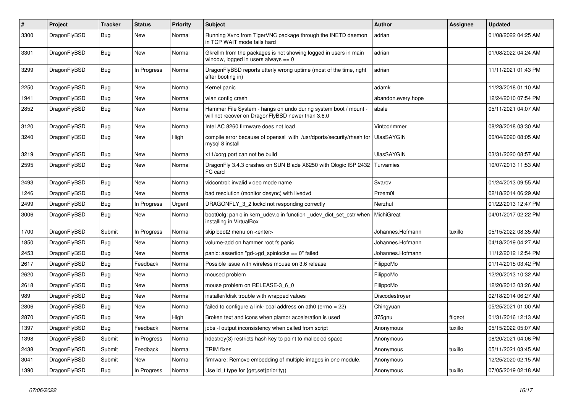| $\sharp$ | Project      | <b>Tracker</b> | <b>Status</b> | <b>Priority</b> | Subject                                                                                                              | Author             | Assignee | <b>Updated</b>      |
|----------|--------------|----------------|---------------|-----------------|----------------------------------------------------------------------------------------------------------------------|--------------------|----------|---------------------|
| 3300     | DragonFlyBSD | Bug            | <b>New</b>    | Normal          | Running Xvnc from TigerVNC package through the INETD daemon<br>in TCP WAIT mode fails hard                           | adrian             |          | 01/08/2022 04:25 AM |
| 3301     | DragonFlyBSD | <b>Bug</b>     | New           | Normal          | Gkrellm from the packages is not showing logged in users in main<br>window, logged in users always $== 0$            | adrian             |          | 01/08/2022 04:24 AM |
| 3299     | DragonFlyBSD | <b>Bug</b>     | In Progress   | Normal          | DragonFlyBSD reports utterly wrong uptime (most of the time, right<br>after booting in)                              | adrian             |          | 11/11/2021 01:43 PM |
| 2250     | DragonFlyBSD | <b>Bug</b>     | <b>New</b>    | Normal          | Kernel panic                                                                                                         | adamk              |          | 11/23/2018 01:10 AM |
| 1941     | DragonFlyBSD | <b>Bug</b>     | New           | Normal          | wlan config crash                                                                                                    | abandon.every.hope |          | 12/24/2010 07:54 PM |
| 2852     | DragonFlyBSD | <b>Bug</b>     | New           | Normal          | Hammer File System - hangs on undo during system boot / mount -<br>will not recover on DragonFlyBSD newer than 3.6.0 | abale              |          | 05/11/2021 04:07 AM |
| 3120     | DragonFlyBSD | <b>Bug</b>     | <b>New</b>    | Normal          | Intel AC 8260 firmware does not load                                                                                 | Vintodrimmer       |          | 08/28/2018 03:30 AM |
| 3240     | DragonFlyBSD | <b>Bug</b>     | <b>New</b>    | High            | compile error because of openssl with /usr/dports/security/rhash for<br>mysql 8 install                              | UlasSAYGIN         |          | 06/04/2020 08:05 AM |
| 3219     | DragonFlyBSD | Bug            | <b>New</b>    | Normal          | x11/xorg port can not be build                                                                                       | <b>UlasSAYGIN</b>  |          | 03/31/2020 08:57 AM |
| 2595     | DragonFlyBSD | <b>Bug</b>     | <b>New</b>    | Normal          | DragonFly 3.4.3 crashes on SUN Blade X6250 with Qlogic ISP 2432 Turvamies<br>FC card                                 |                    |          | 10/07/2013 11:53 AM |
| 2493     | DragonFlyBSD | Bug            | <b>New</b>    | Normal          | vidcontrol: invalid video mode name                                                                                  | Svarov             |          | 01/24/2013 09:55 AM |
| 1246     | DragonFlyBSD | Bug            | <b>New</b>    | Normal          | bad resolution (monitor desync) with livedvd                                                                         | Przem0l            |          | 02/18/2014 06:29 AM |
| 2499     | DragonFlyBSD | <b>Bug</b>     | In Progress   | Urgent          | DRAGONFLY_3_2 lockd not responding correctly                                                                         | Nerzhul            |          | 01/22/2013 12:47 PM |
| 3006     | DragonFlyBSD | Bug            | New           | Normal          | boot0cfg: panic in kern_udev.c in function _udev_dict_set_cstr when<br>installing in VirtualBox                      | MichiGreat         |          | 04/01/2017 02:22 PM |
| 1700     | DragonFlyBSD | Submit         | In Progress   | Normal          | skip boot2 menu on <enter></enter>                                                                                   | Johannes.Hofmann   | tuxillo  | 05/15/2022 08:35 AM |
| 1850     | DragonFlyBSD | Bug            | <b>New</b>    | Normal          | volume-add on hammer root fs panic                                                                                   | Johannes.Hofmann   |          | 04/18/2019 04:27 AM |
| 2453     | DragonFlyBSD | <b>Bug</b>     | New           | Normal          | panic: assertion "gd->gd_spinlocks == 0" failed                                                                      | Johannes.Hofmann   |          | 11/12/2012 12:54 PM |
| 2617     | DragonFlyBSD | <b>Bug</b>     | Feedback      | Normal          | Possible issue with wireless mouse on 3.6 release                                                                    | FilippoMo          |          | 01/14/2015 03:42 PM |
| 2620     | DragonFlyBSD | Bug            | <b>New</b>    | Normal          | moused problem                                                                                                       | FilippoMo          |          | 12/20/2013 10:32 AM |
| 2618     | DragonFlyBSD | <b>Bug</b>     | New           | Normal          | mouse problem on RELEASE-3_6_0                                                                                       | FilippoMo          |          | 12/20/2013 03:26 AM |
| 989      | DragonFlyBSD | <b>Bug</b>     | <b>New</b>    | Normal          | installer/fdisk trouble with wrapped values                                                                          | Discodestroyer     |          | 02/18/2014 06:27 AM |
| 2806     | DragonFlyBSD | <b>Bug</b>     | New           | Normal          | failed to configure a link-local address on ath $0$ (errno = 22)                                                     | Chingyuan          |          | 05/25/2021 01:00 AM |
| 2870     | DragonFlyBSD | Bug            | New           | High            | Broken text and icons when glamor acceleration is used                                                               | 375gnu             | ftigeot  | 01/31/2016 12:13 AM |
| 1397     | DragonFlyBSD | Bug            | Feedback      | Normal          | jobs -I output inconsistency when called from script                                                                 | Anonymous          | tuxillo  | 05/15/2022 05:07 AM |
| 1398     | DragonFlyBSD | Submit         | In Progress   | Normal          | hdestroy(3) restricts hash key to point to malloc'ed space                                                           | Anonymous          |          | 08/20/2021 04:06 PM |
| 2438     | DragonFlyBSD | Submit         | Feedback      | Normal          | <b>TRIM</b> fixes                                                                                                    | Anonymous          | tuxillo  | 05/11/2021 03:45 AM |
| 3041     | DragonFlyBSD | Submit         | New           | Normal          | firmware: Remove embedding of multiple images in one module.                                                         | Anonymous          |          | 12/25/2020 02:15 AM |
| 1390     | DragonFlyBSD | <b>Bug</b>     | In Progress   | Normal          | Use id_t type for {get,set}priority()                                                                                | Anonymous          | tuxillo  | 07/05/2019 02:18 AM |